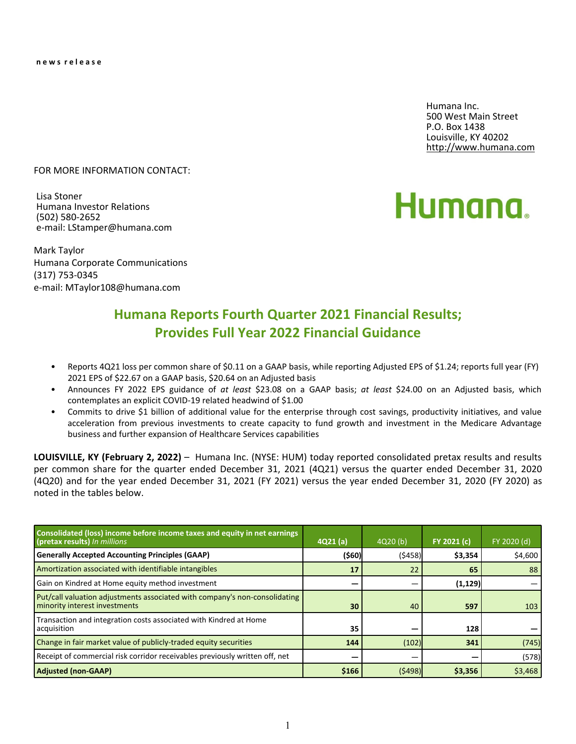Humana Inc. 500 West Main Street P.O. Box 1438 Louisville, KY 40202 http://www.humana.com

#### FOR MORE INFORMATION CONTACT:

Lisa Stoner Humana Investor Relations (502) 580-2652 e-mail: LStamper@humana.com



Mark Taylor Humana Corporate Communications (317) 753-0345 e-mail: MTaylor108@humana.com

# **Humana Reports Fourth Quarter 2021 Financial Results; Provides Full Year 2022 Financial Guidance**

- Reports 4Q21 loss per common share of \$0.11 on a GAAP basis, while reporting Adjusted EPS of \$1.24; reports full year (FY) 2021 EPS of \$22.67 on a GAAP basis, \$20.64 on an Adjusted basis
- Announces FY 2022 EPS guidance of at least \$23.08 on a GAAP basis; at least \$24.00 on an Adjusted basis, which contemplates an explicit COVID-19 related headwind of \$1.00
- Commits to drive \$1 billion of additional value for the enterprise through cost savings, productivity initiatives, and value acceleration from previous investments to create capacity to fund growth and investment in the Medicare Advantage business and further expansion of Healthcare Services capabilities

**LOUISVILLE, KY (February 2, 2022)** – Humana Inc. (NYSE: HUM) today reported consolidated pretax results and results per common share for the quarter ended December 31, 2021 (4Q21) versus the quarter ended December 31, 2020  $(4Q20)$  and for the year ended December 31, 2021 (FY 2021) versus the year ended December 31, 2020 (FY 2020) as noted in the tables below.

| Consolidated (loss) income before income taxes and equity in net earnings<br>(pretax results) In millions   | 4Q21(a) | 4Q20(b) | FY 2021 (c) | FY 2020 (d) |
|-------------------------------------------------------------------------------------------------------------|---------|---------|-------------|-------------|
| <b>Generally Accepted Accounting Principles (GAAP)</b>                                                      | (\$60)  | (5458)  | \$3,354     | \$4,600     |
| Amortization associated with identifiable intangibles                                                       | 17      | 22      | 65          | 88          |
| Gain on Kindred at Home equity method investment                                                            |         |         | (1, 129)    |             |
| Put/call valuation adjustments associated with company's non-consolidating<br>minority interest investments | 30      | 40      | 597         | 103         |
| Transaction and integration costs associated with Kindred at Home<br>acquisition                            | 35      |         | 128         |             |
| Change in fair market value of publicly-traded equity securities                                            | 144     | (102)   | 341         | (745)       |
| Receipt of commercial risk corridor receivables previously written off, net                                 |         |         |             | (578)       |
| <b>Adjusted (non-GAAP)</b>                                                                                  | \$166   | (5498)  | \$3,356     | \$3,468     |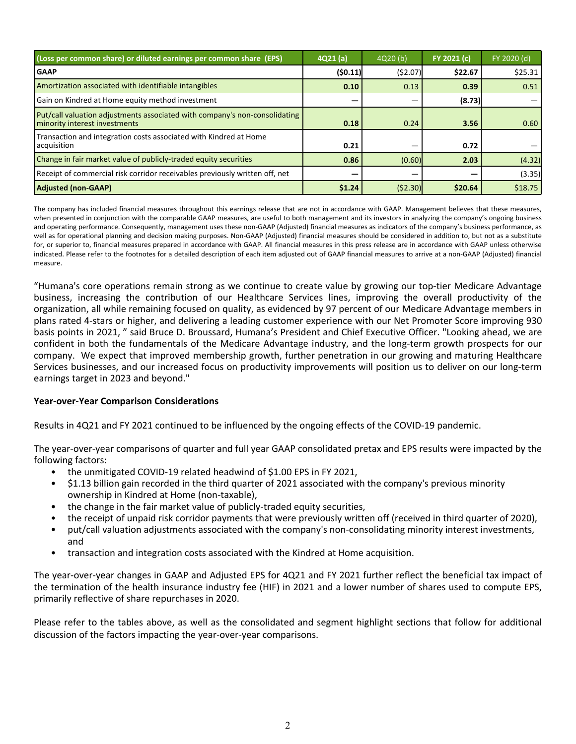| (Loss per common share) or diluted earnings per common share (EPS)                                          | 4Q21(a) | 4Q20(b) | FY 2021 (c) | FY 2020 (d) |
|-------------------------------------------------------------------------------------------------------------|---------|---------|-------------|-------------|
| l GAAP                                                                                                      | (50.11) | (52.07) | \$22.67     | \$25.31     |
| Amortization associated with identifiable intangibles                                                       | 0.10    | 0.13    | 0.39        | 0.51        |
| Gain on Kindred at Home equity method investment                                                            |         |         | (8.73)      |             |
| Put/call valuation adjustments associated with company's non-consolidating<br>minority interest investments | 0.18    | 0.24    | 3.56        | 0.60        |
| Transaction and integration costs associated with Kindred at Home<br>acquisition                            | 0.21    |         | 0.72        |             |
| Change in fair market value of publicly-traded equity securities                                            | 0.86    | (0.60)  | 2.03        | (4.32)      |
| Receipt of commercial risk corridor receivables previously written off, net                                 |         |         |             | (3.35)      |
| <b>Adjusted (non-GAAP)</b>                                                                                  | \$1.24  | (52.30) | \$20.64     | \$18.75     |

The company has included financial measures throughout this earnings release that are not in accordance with GAAP. Management believes that these measures, when presented in conjunction with the comparable GAAP measures, are useful to both management and its investors in analyzing the company's ongoing business and operating performance. Consequently, management uses these non-GAAP (Adjusted) financial measures as indicators of the company's business performance, as well as for operational planning and decision making purposes. Non-GAAP (Adjusted) financial measures should be considered in addition to, but not as a substitute for, or superior to, financial measures prepared in accordance with GAAP. All financial measures in this press release are in accordance with GAAP unless otherwise indicated. Please refer to the footnotes for a detailed description of each item adjusted out of GAAP financial measures to arrive at a non-GAAP (Adjusted) financial measure. 

"Humana's core operations remain strong as we continue to create value by growing our top-tier Medicare Advantage business, increasing the contribution of our Healthcare Services lines, improving the overall productivity of the organization, all while remaining focused on quality, as evidenced by 97 percent of our Medicare Advantage members in plans rated 4-stars or higher, and delivering a leading customer experience with our Net Promoter Score improving 930 basis points in 2021, " said Bruce D. Broussard, Humana's President and Chief Executive Officer. "Looking ahead, we are confident in both the fundamentals of the Medicare Advantage industry, and the long-term growth prospects for our company. We expect that improved membership growth, further penetration in our growing and maturing Healthcare Services businesses, and our increased focus on productivity improvements will position us to deliver on our long-term earnings target in 2023 and beyond."

#### **Year-over-Year Comparison Considerations**

Results in 4Q21 and FY 2021 continued to be influenced by the ongoing effects of the COVID-19 pandemic.

The year-over-year comparisons of quarter and full year GAAP consolidated pretax and EPS results were impacted by the following factors:

- the unmitigated COVID-19 related headwind of \$1.00 EPS in FY 2021,
- \$1.13 billion gain recorded in the third quarter of 2021 associated with the company's previous minority ownership in Kindred at Home (non-taxable),
- the change in the fair market value of publicly-traded equity securities,
- the receipt of unpaid risk corridor payments that were previously written off (received in third quarter of 2020),
- put/call valuation adjustments associated with the company's non-consolidating minority interest investments, and
- transaction and integration costs associated with the Kindred at Home acquisition.

The year-over-year changes in GAAP and Adjusted EPS for 4Q21 and FY 2021 further reflect the beneficial tax impact of the termination of the health insurance industry fee (HIF) in 2021 and a lower number of shares used to compute EPS, primarily reflective of share repurchases in 2020.

Please refer to the tables above, as well as the consolidated and segment highlight sections that follow for additional discussion of the factors impacting the year-over-year comparisons.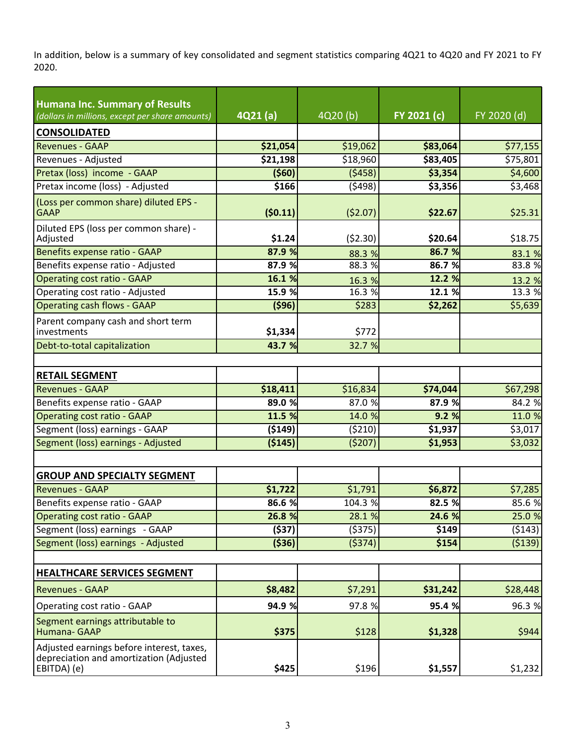In addition, below is a summary of key consolidated and segment statistics comparing 4Q21 to 4Q20 and FY 2021 to FY 2020. 

| <b>Humana Inc. Summary of Results</b><br>(dollars in millions, except per share amounts)            | $\overline{4Q21}$ (a) | $\sqrt{4Q20}$ (b) | FY 2021 (c) | FY 2020 (d) |
|-----------------------------------------------------------------------------------------------------|-----------------------|-------------------|-------------|-------------|
| <b>CONSOLIDATED</b>                                                                                 |                       |                   |             |             |
| <b>Revenues - GAAP</b>                                                                              | \$21,054              | \$19,062          | \$83,064    | \$77,155    |
| Revenues - Adjusted                                                                                 | \$21,198              | \$18,960          | \$83,405    | \$75,801    |
| Pretax (loss) income - GAAP                                                                         | (560)                 | (5458)            | \$3,354     | \$4,600     |
| Pretax income (loss) - Adjusted                                                                     | \$166                 | (5498)            | \$3,356     | \$3,468     |
| (Loss per common share) diluted EPS -<br><b>GAAP</b>                                                | (50.11)               | (52.07)           | \$22.67     | \$25.31     |
| Diluted EPS (loss per common share) -<br>Adjusted                                                   | \$1.24                | (52.30)           | \$20.64     | \$18.75     |
| Benefits expense ratio - GAAP                                                                       | 87.9 %                | 88.3 %            | 86.7 %      | 83.1 %      |
| Benefits expense ratio - Adjusted                                                                   | 87.9 %                | 88.3 %            | 86.7 %      | 83.8 %      |
| <b>Operating cost ratio - GAAP</b>                                                                  | 16.1 %                | 16.3 %            | 12.2 %      | 13.2 %      |
| Operating cost ratio - Adjusted                                                                     | 15.9 %                | 16.3 %            | 12.1 %      | 13.3 %      |
| <b>Operating cash flows - GAAP</b>                                                                  | (596)                 | \$283             | \$2,262     | \$5,639     |
| Parent company cash and short term<br>investments                                                   | \$1,334               | \$772             |             |             |
| Debt-to-total capitalization                                                                        | 43.7 %                | 32.7 %            |             |             |
|                                                                                                     |                       |                   |             |             |
| <b>RETAIL SEGMENT</b>                                                                               |                       |                   |             |             |
| <b>Revenues - GAAP</b>                                                                              | \$18,411              | \$16,834          | \$74,044    | \$67,298    |
| Benefits expense ratio - GAAP                                                                       | 89.0 %                | 87.0 %            | 87.9 %      | 84.2 %      |
| <b>Operating cost ratio - GAAP</b>                                                                  | 11.5 %                | 14.0 %            | 9.2%        | 11.0 %      |
| Segment (loss) earnings - GAAP                                                                      | (5149)                | (5210)            | \$1,937     | \$3,017     |
| Segment (loss) earnings - Adjusted                                                                  | (5145)                | (5207)            | \$1,953     | \$3,032     |
|                                                                                                     |                       |                   |             |             |
| <b>GROUP AND SPECIALTY SEGMENT</b>                                                                  |                       |                   |             |             |
| <b>Revenues - GAAP</b>                                                                              | \$1,722               | \$1,791           | \$6,872     | \$7,285     |
| Benefits expense ratio - GAAP                                                                       | 86.6 %                | 104.3 %           | 82.5 %      | 85.6 %      |
| <b>Operating cost ratio - GAAP</b>                                                                  | 26.8 %                | 28.1 %            | 24.6 %      | 25.0 %      |
| Segment (loss) earnings - GAAP                                                                      | (537)                 | ( \$375)          | \$149       | (5143)      |
| Segment (loss) earnings - Adjusted                                                                  | ( \$36)               | (5374)            | \$154       | (5139)      |
|                                                                                                     |                       |                   |             |             |
| HEALTHCARE SERVICES SEGMENT                                                                         |                       |                   |             |             |
| <b>Revenues - GAAP</b>                                                                              | \$8,482               | \$7,291           | \$31,242    | \$28,448    |
| <b>Operating cost ratio - GAAP</b>                                                                  | 94.9 %                | 97.8 %            | 95.4 %      | 96.3 %      |
| Segment earnings attributable to<br>Humana- GAAP                                                    | \$375                 | \$128             | \$1,328     | \$944       |
| Adjusted earnings before interest, taxes,<br>depreciation and amortization (Adjusted<br>EBITDA) (e) | \$425                 | \$196             | \$1,557     | \$1,232     |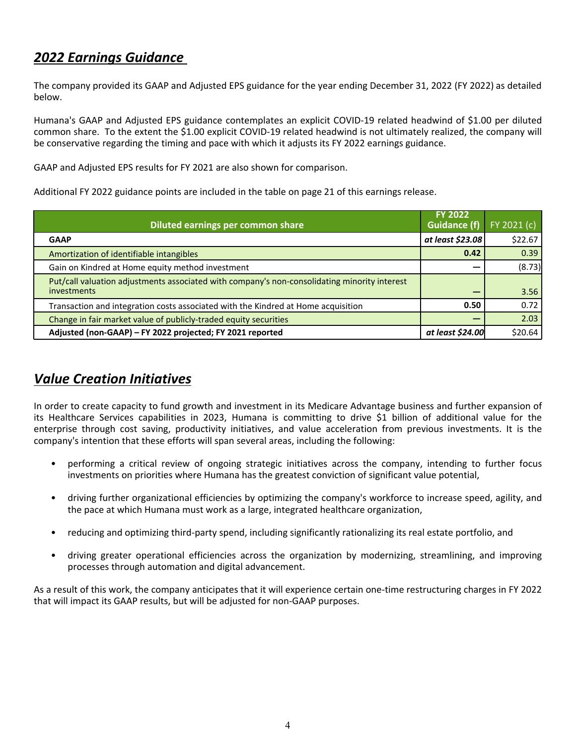# *2022 Earnings Guidance*

The company provided its GAAP and Adjusted EPS guidance for the year ending December 31, 2022 (FY 2022) as detailed below. 

Humana's GAAP and Adjusted EPS guidance contemplates an explicit COVID-19 related headwind of \$1.00 per diluted common share. To the extent the \$1.00 explicit COVID-19 related headwind is not ultimately realized, the company will be conservative regarding the timing and pace with which it adjusts its FY 2022 earnings guidance.

GAAP and Adjusted EPS results for FY 2021 are also shown for comparison.

Additional FY 2022 guidance points are included in the table on page 21 of this earnings release.

| Diluted earnings per common share                                                                                  | <b>FY 2022</b><br><b>Guidance (f)</b> | FY 2021 (c) |
|--------------------------------------------------------------------------------------------------------------------|---------------------------------------|-------------|
| <b>GAAP</b>                                                                                                        | at least \$23.08                      | \$22.67     |
| Amortization of identifiable intangibles                                                                           | 0.42                                  | 0.39        |
| Gain on Kindred at Home equity method investment                                                                   |                                       | (8.73)      |
| Put/call valuation adjustments associated with company's non-consolidating minority interest<br><i>investments</i> |                                       | 3.56        |
| Transaction and integration costs associated with the Kindred at Home acquisition                                  | 0.50                                  | 0.72        |
| Change in fair market value of publicly-traded equity securities                                                   |                                       | 2.03        |
| Adjusted (non-GAAP) - FY 2022 projected; FY 2021 reported                                                          | at least \$24.00                      | \$20.64     |

# *Value Creation Initiatives*

In order to create capacity to fund growth and investment in its Medicare Advantage business and further expansion of its Healthcare Services capabilities in 2023, Humana is committing to drive \$1 billion of additional value for the enterprise through cost saving, productivity initiatives, and value acceleration from previous investments. It is the company's intention that these efforts will span several areas, including the following:

- performing a critical review of ongoing strategic initiatives across the company, intending to further focus investments on priorities where Humana has the greatest conviction of significant value potential,
- driving further organizational efficiencies by optimizing the company's workforce to increase speed, agility, and the pace at which Humana must work as a large, integrated healthcare organization,
- reducing and optimizing third-party spend, including significantly rationalizing its real estate portfolio, and
- driving greater operational efficiencies across the organization by modernizing, streamlining, and improving processes through automation and digital advancement.

As a result of this work, the company anticipates that it will experience certain one-time restructuring charges in FY 2022 that will impact its GAAP results, but will be adjusted for non-GAAP purposes.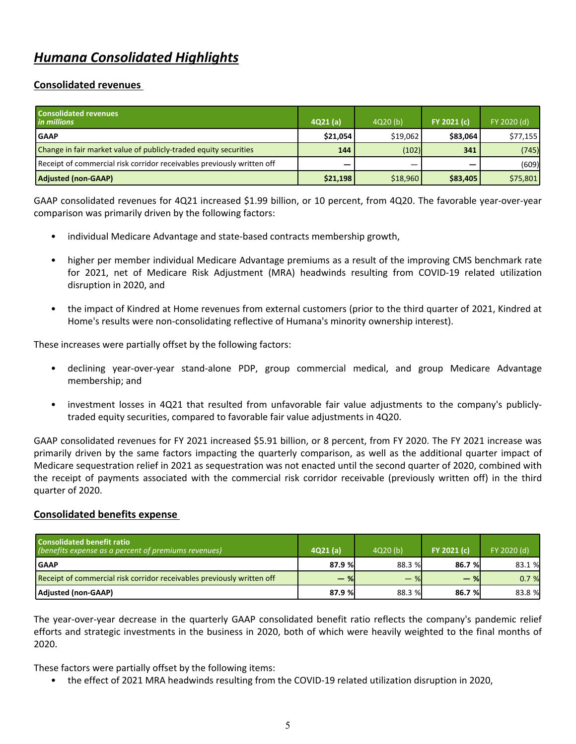# *Humana Consolidated Highlights*

## **Consolidated revenues**

| <b>Consolidated revenues</b><br><i>in millions</i>                     | 4Q21(a)  | 4Q20(b)  | FY 2021 (c) | FY 2020 (d) |
|------------------------------------------------------------------------|----------|----------|-------------|-------------|
| <b>GAAP</b>                                                            | \$21,054 | \$19,062 | \$83,064    | \$77,155    |
| Change in fair market value of publicly-traded equity securities       | 144      | (102)    | 341         | (745)       |
| Receipt of commercial risk corridor receivables previously written off | –        |          |             | (609)       |
| <b>Adjusted (non-GAAP)</b>                                             | \$21,198 | \$18,960 | \$83,405    | \$75,801    |

GAAP consolidated revenues for 4Q21 increased \$1.99 billion, or 10 percent, from 4Q20. The favorable year-over-year comparison was primarily driven by the following factors:

- individual Medicare Advantage and state-based contracts membership growth,
- higher per member individual Medicare Advantage premiums as a result of the improving CMS benchmark rate for 2021, net of Medicare Risk Adjustment (MRA) headwinds resulting from COVID-19 related utilization disruption in 2020, and
- the impact of Kindred at Home revenues from external customers (prior to the third quarter of 2021, Kindred at Home's results were non-consolidating reflective of Humana's minority ownership interest).

These increases were partially offset by the following factors:

- declining year-over-year stand-alone PDP, group commercial medical, and group Medicare Advantage membership; and
- investment losses in 4Q21 that resulted from unfavorable fair value adjustments to the company's publiclytraded equity securities, compared to favorable fair value adjustments in 4Q20.

GAAP consolidated revenues for FY 2021 increased \$5.91 billion, or 8 percent, from FY 2020. The FY 2021 increase was primarily driven by the same factors impacting the quarterly comparison, as well as the additional quarter impact of Medicare sequestration relief in 2021 as sequestration was not enacted until the second quarter of 2020, combined with the receipt of payments associated with the commercial risk corridor receivable (previously written off) in the third quarter of 2020.

## **Consolidated benefits expense**

| <b>Consolidated benefit ratio</b><br>(benefits expense as a percent of premiums revenues) | 4021(a) | 4Q20(b) | FY 2021 (c) | FY 2020 (d) |
|-------------------------------------------------------------------------------------------|---------|---------|-------------|-------------|
| l GAAP                                                                                    | 87.9 %  | 88.3 %  | 86.7 %      | 83.1 %      |
| Receipt of commercial risk corridor receivables previously written off                    | — %I    | $-$ %   | — %I        | 0.7%        |
| <b>Adjusted (non-GAAP)</b>                                                                | 87.9 %  | 88.3 %  | 86.7 %      | 83.8 %      |

The year-over-year decrease in the quarterly GAAP consolidated benefit ratio reflects the company's pandemic relief efforts and strategic investments in the business in 2020, both of which were heavily weighted to the final months of 2020. 

These factors were partially offset by the following items:

• the effect of 2021 MRA headwinds resulting from the COVID-19 related utilization disruption in 2020,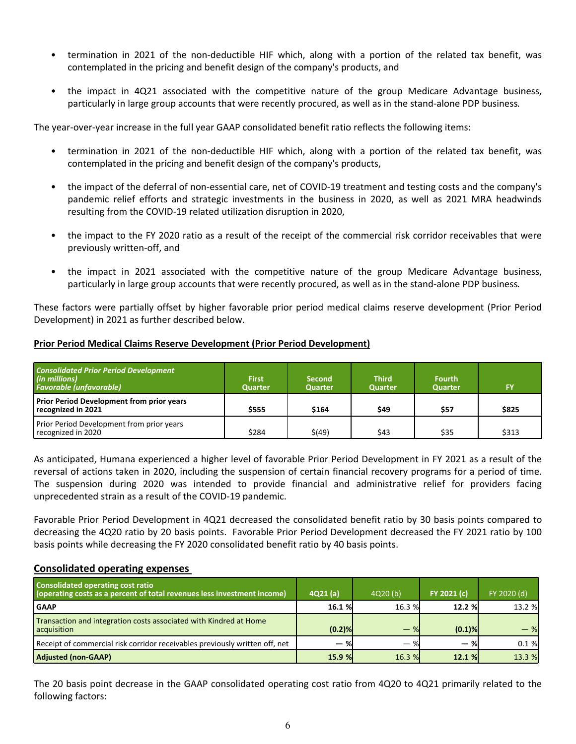- termination in 2021 of the non-deductible HIF which, along with a portion of the related tax benefit, was contemplated in the pricing and benefit design of the company's products, and
- the impact in  $4Q21$  associated with the competitive nature of the group Medicare Advantage business, particularly in large group accounts that were recently procured, as well as in the stand-alone PDP business.

The year-over-year increase in the full year GAAP consolidated benefit ratio reflects the following items:

- termination in 2021 of the non-deductible HIF which, along with a portion of the related tax benefit, was contemplated in the pricing and benefit design of the company's products,
- the impact of the deferral of non-essential care, net of COVID-19 treatment and testing costs and the company's pandemic relief efforts and strategic investments in the business in 2020, as well as 2021 MRA headwinds resulting from the COVID-19 related utilization disruption in 2020,
- the impact to the FY 2020 ratio as a result of the receipt of the commercial risk corridor receivables that were previously written-off, and
- the impact in 2021 associated with the competitive nature of the group Medicare Advantage business, particularly in large group accounts that were recently procured, as well as in the stand-alone PDP business.

These factors were partially offset by higher favorable prior period medical claims reserve development (Prior Period Development) in 2021 as further described below.

### **Prior Period Medical Claims Reserve Development (Prior Period Development)**

| <b>Consolidated Prior Period Development</b><br>(in millions)<br><b>Favorable (unfavorable)</b> | <b>First</b><br><b>Quarter</b> | <b>Second</b><br><b>Quarter</b> | <b>Third</b><br><b>Quarter</b> | <b>Fourth</b><br><b>Quarter</b> | <b>FY</b> |
|-------------------------------------------------------------------------------------------------|--------------------------------|---------------------------------|--------------------------------|---------------------------------|-----------|
| <b>Prior Period Development from prior years</b><br>recognized in 2021                          | \$555                          | \$164                           | <b>\$49</b>                    | \$57                            | \$825     |
| <b>Prior Period Development from prior years</b><br>recognized in 2020                          | \$284                          | \$(49)                          | \$43                           | \$35                            | \$313     |

As anticipated, Humana experienced a higher level of favorable Prior Period Development in FY 2021 as a result of the reversal of actions taken in 2020, including the suspension of certain financial recovery programs for a period of time. The suspension during 2020 was intended to provide financial and administrative relief for providers facing unprecedented strain as a result of the COVID-19 pandemic.

Favorable Prior Period Development in 4Q21 decreased the consolidated benefit ratio by 30 basis points compared to decreasing the 4Q20 ratio by 20 basis points. Favorable Prior Period Development decreased the FY 2021 ratio by 100 basis points while decreasing the FY 2020 consolidated benefit ratio by 40 basis points.

#### **Consolidated operating expenses**

| <b>Consolidated operating cost ratio</b><br>(operating costs as a percent of total revenues less investment income) | 4Q21(a)   | 4Q20(b) | FY 2021 (c) | FY 2020 (d) |
|---------------------------------------------------------------------------------------------------------------------|-----------|---------|-------------|-------------|
| l GAAP                                                                                                              | 16.1 %    | 16.3 %  | 12.2%       | 13.2 %      |
| Transaction and integration costs associated with Kindred at Home<br>acquisition                                    | $(0.2)$ % | $-$ %   | $(0.1)$ %   | $-$ %       |
| Receipt of commercial risk corridor receivables previously written off, net                                         | - %       | $-$ %   | — %l        | 0.1%        |
| <b>Adjusted (non-GAAP)</b>                                                                                          | 15.9 %    | 16.3%   | 12.1 %      | 13.3 %      |

The 20 basis point decrease in the GAAP consolidated operating cost ratio from 4Q20 to 4Q21 primarily related to the following factors: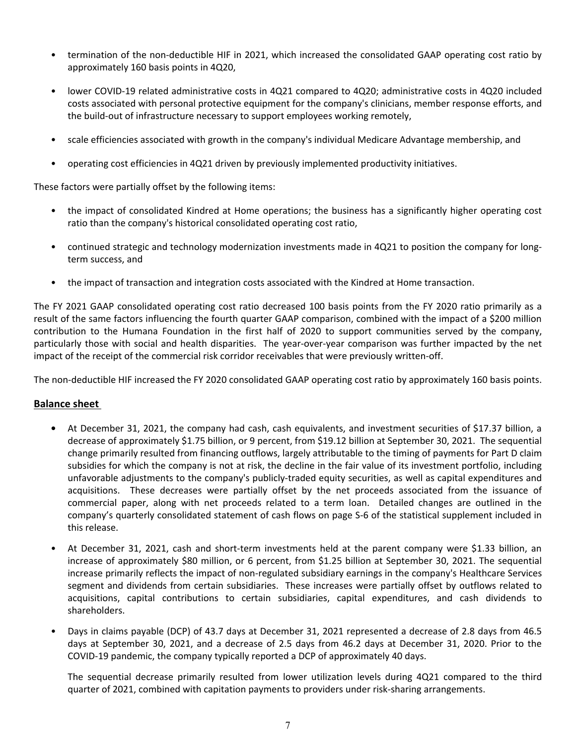- termination of the non-deductible HIF in 2021, which increased the consolidated GAAP operating cost ratio by approximately 160 basis points in 4Q20,
- lower COVID-19 related administrative costs in 4Q21 compared to 4Q20; administrative costs in 4Q20 included costs associated with personal protective equipment for the company's clinicians, member response efforts, and the build-out of infrastructure necessary to support employees working remotely,
- scale efficiencies associated with growth in the company's individual Medicare Advantage membership, and
- operating cost efficiencies in 4Q21 driven by previously implemented productivity initiatives.

These factors were partially offset by the following items:

- the impact of consolidated Kindred at Home operations; the business has a significantly higher operating cost ratio than the company's historical consolidated operating cost ratio,
- continued strategic and technology modernization investments made in 4Q21 to position the company for longterm success, and
- the impact of transaction and integration costs associated with the Kindred at Home transaction.

The FY 2021 GAAP consolidated operating cost ratio decreased 100 basis points from the FY 2020 ratio primarily as a result of the same factors influencing the fourth quarter GAAP comparison, combined with the impact of a \$200 million contribution to the Humana Foundation in the first half of 2020 to support communities served by the company, particularly those with social and health disparities. The year-over-year comparison was further impacted by the net impact of the receipt of the commercial risk corridor receivables that were previously written-off.

The non-deductible HIF increased the FY 2020 consolidated GAAP operating cost ratio by approximately 160 basis points.

#### **Balance sheet**

- At December 31, 2021, the company had cash, cash equivalents, and investment securities of \$17.37 billion, a decrease of approximately \$1.75 billion, or 9 percent, from \$19.12 billion at September 30, 2021. The sequential change primarily resulted from financing outflows, largely attributable to the timing of payments for Part D claim subsidies for which the company is not at risk, the decline in the fair value of its investment portfolio, including unfavorable adjustments to the company's publicly-traded equity securities, as well as capital expenditures and acquisitions. These decreases were partially offset by the net proceeds associated from the issuance of commercial paper, along with net proceeds related to a term loan. Detailed changes are outlined in the company's quarterly consolidated statement of cash flows on page S-6 of the statistical supplement included in this release.
- At December 31, 2021, cash and short-term investments held at the parent company were \$1.33 billion, an increase of approximately \$80 million, or 6 percent, from \$1.25 billion at September 30, 2021. The sequential increase primarily reflects the impact of non-regulated subsidiary earnings in the company's Healthcare Services segment and dividends from certain subsidiaries. These increases were partially offset by outflows related to acquisitions, capital contributions to certain subsidiaries, capital expenditures, and cash dividends to shareholders.
- Days in claims payable (DCP) of 43.7 days at December 31, 2021 represented a decrease of 2.8 days from 46.5 days at September 30, 2021, and a decrease of 2.5 days from 46.2 days at December 31, 2020. Prior to the COVID-19 pandemic, the company typically reported a DCP of approximately 40 days.

The sequential decrease primarily resulted from lower utilization levels during 4Q21 compared to the third quarter of 2021, combined with capitation payments to providers under risk-sharing arrangements.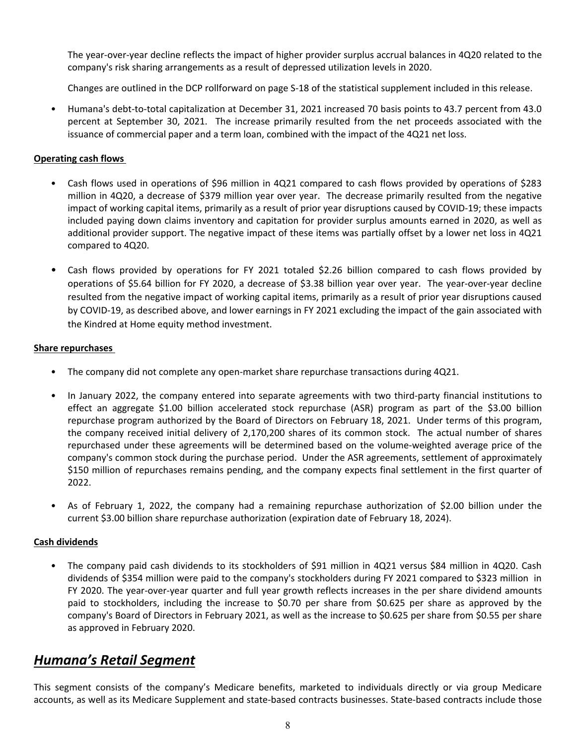The year-over-year decline reflects the impact of higher provider surplus accrual balances in 4Q20 related to the company's risk sharing arrangements as a result of depressed utilization levels in 2020.

Changes are outlined in the DCP rollforward on page S-18 of the statistical supplement included in this release.

Humana's debt-to-total capitalization at December 31, 2021 increased 70 basis points to 43.7 percent from 43.0 percent at September 30, 2021. The increase primarily resulted from the net proceeds associated with the issuance of commercial paper and a term loan, combined with the impact of the 4Q21 net loss.

#### **Operating cash flows**

- Cash flows used in operations of \$96 million in 4Q21 compared to cash flows provided by operations of \$283 million in 4Q20, a decrease of \$379 million year over year. The decrease primarily resulted from the negative impact of working capital items, primarily as a result of prior year disruptions caused by COVID-19; these impacts included paying down claims inventory and capitation for provider surplus amounts earned in 2020, as well as additional provider support. The negative impact of these items was partially offset by a lower net loss in 4Q21 compared to 4Q20.
- Cash flows provided by operations for FY 2021 totaled \$2.26 billion compared to cash flows provided by operations of \$5.64 billion for FY 2020, a decrease of \$3.38 billion year over year. The year-over-year decline resulted from the negative impact of working capital items, primarily as a result of prior year disruptions caused by COVID-19, as described above, and lower earnings in FY 2021 excluding the impact of the gain associated with the Kindred at Home equity method investment.

### **Share repurchases**

- The company did not complete any open-market share repurchase transactions during 4Q21.
- In January 2022, the company entered into separate agreements with two third-party financial institutions to effect an aggregate \$1.00 billion accelerated stock repurchase (ASR) program as part of the \$3.00 billion repurchase program authorized by the Board of Directors on February 18, 2021. Under terms of this program, the company received initial delivery of 2,170,200 shares of its common stock. The actual number of shares repurchased under these agreements will be determined based on the volume-weighted average price of the company's common stock during the purchase period. Under the ASR agreements, settlement of approximately \$150 million of repurchases remains pending, and the company expects final settlement in the first quarter of 2022.
- As of February 1, 2022, the company had a remaining repurchase authorization of \$2.00 billion under the current \$3.00 billion share repurchase authorization (expiration date of February 18, 2024).

## **Cash dividends**

• The company paid cash dividends to its stockholders of \$91 million in 4Q21 versus \$84 million in 4Q20. Cash dividends of \$354 million were paid to the company's stockholders during FY 2021 compared to \$323 million in FY 2020. The year-over-year quarter and full year growth reflects increases in the per share dividend amounts paid to stockholders, including the increase to \$0.70 per share from \$0.625 per share as approved by the company's Board of Directors in February 2021, as well as the increase to \$0.625 per share from \$0.55 per share as approved in February 2020.

# *Humana's Retail Segment*

This segment consists of the company's Medicare benefits, marketed to individuals directly or via group Medicare accounts, as well as its Medicare Supplement and state-based contracts businesses. State-based contracts include those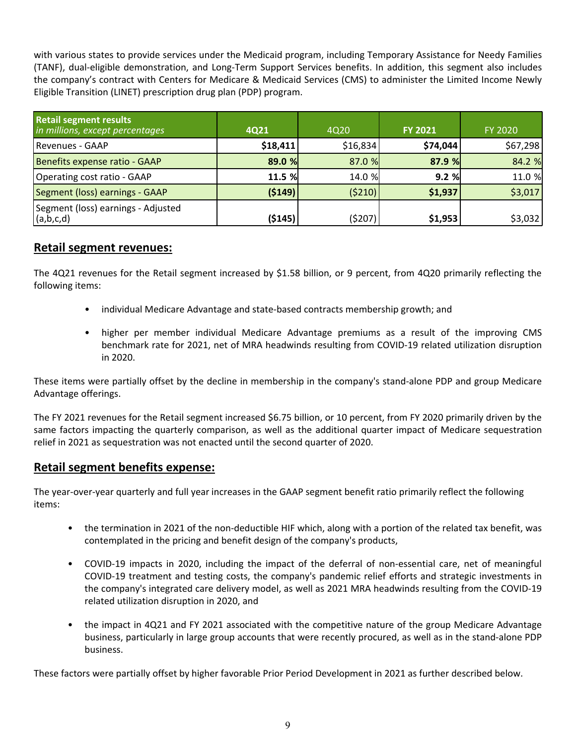with various states to provide services under the Medicaid program, including Temporary Assistance for Needy Families (TANF), dual-eligible demonstration, and Long-Term Support Services benefits. In addition, this segment also includes the company's contract with Centers for Medicare & Medicaid Services (CMS) to administer the Limited Income Newly Eligible Transition (LINET) prescription drug plan (PDP) program.

| <b>Retail segment results</b><br>in millions, except percentages | <b>4Q21</b> | 4Q20     | <b>FY 2021</b> | <b>FY 2020</b> |
|------------------------------------------------------------------|-------------|----------|----------------|----------------|
| Revenues - GAAP                                                  | \$18,411    | \$16,834 | \$74,044       | \$67,298       |
| Benefits expense ratio - GAAP                                    | 89.0 %      | 87.0 %   | 87.9%          | 84.2 %         |
| Operating cost ratio - GAAP                                      | 11.5 %      | 14.0 %   | 9.2%           | 11.0 %         |
| Segment (loss) earnings - GAAP                                   | (5149)      | (5210)   | \$1,937        | \$3,017        |
| Segment (loss) earnings - Adjusted<br>(a,b,c,d)                  | (\$145)     | (\$207)  | \$1,953        | \$3,032        |

## **Retail segment revenues:**

The  $4Q21$  revenues for the Retail segment increased by \$1.58 billion, or 9 percent, from  $4Q20$  primarily reflecting the following items:

- individual Medicare Advantage and state-based contracts membership growth; and
- higher per member individual Medicare Advantage premiums as a result of the improving CMS benchmark rate for 2021, net of MRA headwinds resulting from COVID-19 related utilization disruption in 2020.

These items were partially offset by the decline in membership in the company's stand-alone PDP and group Medicare Advantage offerings.

The FY 2021 revenues for the Retail segment increased \$6.75 billion, or 10 percent, from FY 2020 primarily driven by the same factors impacting the quarterly comparison, as well as the additional quarter impact of Medicare sequestration relief in 2021 as sequestration was not enacted until the second quarter of 2020.

## **Retail segment benefits expense:**

The year-over-year quarterly and full year increases in the GAAP segment benefit ratio primarily reflect the following items: 

- the termination in 2021 of the non-deductible HIF which, along with a portion of the related tax benefit, was contemplated in the pricing and benefit design of the company's products,
- COVID-19 impacts in 2020, including the impact of the deferral of non-essential care, net of meaningful COVID-19 treatment and testing costs, the company's pandemic relief efforts and strategic investments in the company's integrated care delivery model, as well as 2021 MRA headwinds resulting from the COVID-19 related utilization disruption in 2020, and
- the impact in 4Q21 and FY 2021 associated with the competitive nature of the group Medicare Advantage business, particularly in large group accounts that were recently procured, as well as in the stand-alone PDP business.

These factors were partially offset by higher favorable Prior Period Development in 2021 as further described below.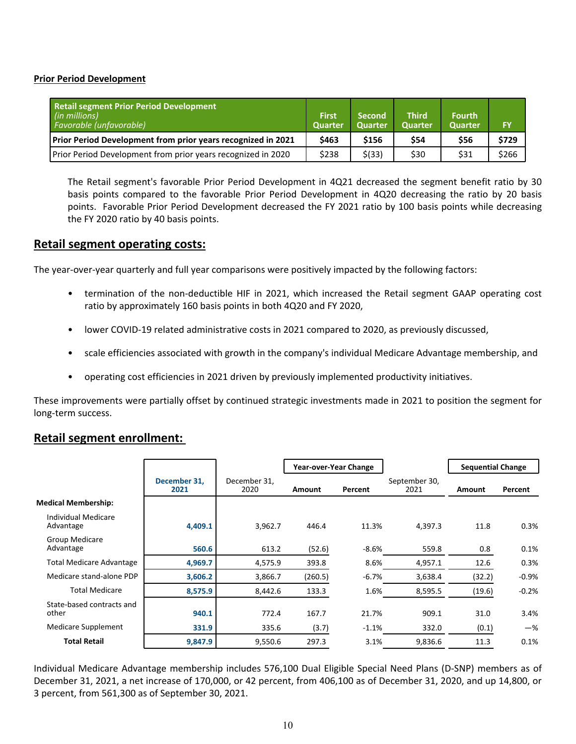#### **Prior Period Development**

| <b>Retail segment Prior Period Development</b><br>(in millions)<br><b>Favorable (unfavorable)</b> | <b>First</b><br><b>Quarter</b> | <b>Second</b><br><b>Quarter</b> | <b>Third</b><br><b>Quarter</b> | <b>Fourth</b><br><b>Ouarter</b> | <b>FY</b> |
|---------------------------------------------------------------------------------------------------|--------------------------------|---------------------------------|--------------------------------|---------------------------------|-----------|
| Prior Period Development from prior years recognized in 2021                                      | \$463                          | \$156                           | \$54                           | \$56                            | \$729     |
| Prior Period Development from prior years recognized in 2020                                      | \$238                          | $$$ (33)                        | \$30                           | \$31                            | \$266     |

The Retail segment's favorable Prior Period Development in 4Q21 decreased the segment benefit ratio by 30 basis points compared to the favorable Prior Period Development in 4Q20 decreasing the ratio by 20 basis points. Favorable Prior Period Development decreased the FY 2021 ratio by 100 basis points while decreasing the FY 2020 ratio by 40 basis points.

## **Retail segment operating costs:**

The year-over-year quarterly and full year comparisons were positively impacted by the following factors:

- termination of the non-deductible HIF in 2021, which increased the Retail segment GAAP operating cost ratio by approximately 160 basis points in both 4Q20 and FY 2020,
- lower COVID-19 related administrative costs in 2021 compared to 2020, as previously discussed,
- scale efficiencies associated with growth in the company's individual Medicare Advantage membership, and
- operating cost efficiencies in 2021 driven by previously implemented productivity initiatives.

These improvements were partially offset by continued strategic investments made in 2021 to position the segment for long-term success.

## **Retail segment enrollment:**

|                                    |                      |                      | Year-over-Year Change |         |                       | <b>Sequential Change</b> |         |
|------------------------------------|----------------------|----------------------|-----------------------|---------|-----------------------|--------------------------|---------|
|                                    | December 31,<br>2021 | December 31,<br>2020 | Amount                | Percent | September 30,<br>2021 | Amount                   | Percent |
| <b>Medical Membership:</b>         |                      |                      |                       |         |                       |                          |         |
| Individual Medicare<br>Advantage   | 4,409.1              | 3,962.7              | 446.4                 | 11.3%   | 4,397.3               | 11.8                     | 0.3%    |
| Group Medicare<br>Advantage        | 560.6                | 613.2                | (52.6)                | $-8.6%$ | 559.8                 | 0.8                      | 0.1%    |
| <b>Total Medicare Advantage</b>    | 4,969.7              | 4,575.9              | 393.8                 | 8.6%    | 4,957.1               | 12.6                     | 0.3%    |
| Medicare stand-alone PDP           | 3,606.2              | 3,866.7              | (260.5)               | $-6.7%$ | 3,638.4               | (32.2)                   | $-0.9%$ |
| <b>Total Medicare</b>              | 8,575.9              | 8,442.6              | 133.3                 | 1.6%    | 8,595.5               | (19.6)                   | $-0.2%$ |
| State-based contracts and<br>other | 940.1                | 772.4                | 167.7                 | 21.7%   | 909.1                 | 31.0                     | 3.4%    |
| Medicare Supplement                | 331.9                | 335.6                | (3.7)                 | $-1.1%$ | 332.0                 | (0.1)                    | $-$ %   |
| <b>Total Retail</b>                | 9,847.9              | 9,550.6              | 297.3                 | 3.1%    | 9,836.6               | 11.3                     | 0.1%    |

Individual Medicare Advantage membership includes 576,100 Dual Eligible Special Need Plans (D-SNP) members as of December 31, 2021, a net increase of 170,000, or 42 percent, from 406,100 as of December 31, 2020, and up 14,800, or 3 percent, from 561,300 as of September 30, 2021.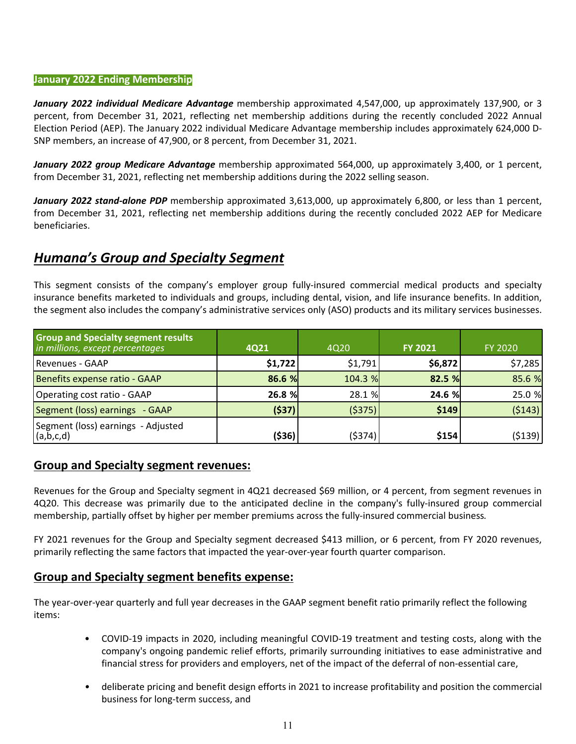### **January 2022 Ending Membership**

**January 2022 individual Medicare Advantage** membership approximated 4,547,000, up approximately 137,900, or 3 percent, from December 31, 2021, reflecting net membership additions during the recently concluded 2022 Annual Election Period (AEP). The January 2022 individual Medicare Advantage membership includes approximately 624,000 D-SNP members, an increase of 47,900, or 8 percent, from December 31, 2021.

*January 2022 group Medicare Advantage* membership approximated 564,000, up approximately 3,400, or 1 percent, from December 31, 2021, reflecting net membership additions during the 2022 selling season.

*January 2022 stand-alone PDP* membership approximated 3,613,000, up approximately 6,800, or less than 1 percent, from December 31, 2021, reflecting net membership additions during the recently concluded 2022 AEP for Medicare beneficiaries. 

# *Humana's Group and Specialty Segment*

This segment consists of the company's employer group fully-insured commercial medical products and specialty insurance benefits marketed to individuals and groups, including dental, vision, and life insurance benefits. In addition, the segment also includes the company's administrative services only (ASO) products and its military services businesses.

| <b>Group and Specialty segment results</b><br>in millions, except percentages | 4Q21    | 4Q20    | <b>FY 2021</b> | <b>FY 2020</b> |
|-------------------------------------------------------------------------------|---------|---------|----------------|----------------|
| l Revenues - GAAP                                                             | \$1,722 | \$1,791 | \$6,872        | \$7,285        |
| Benefits expense ratio - GAAP                                                 | 86.6 %  | 104.3 % | 82.5 %         | 85.6 %         |
| Operating cost ratio - GAAP                                                   | 26.8 %  | 28.1 %  | 24.6 %         | 25.0 %         |
| Segment (loss) earnings - GAAP                                                | (537)   | (5375)  | \$149          | (5143)         |
| Segment (loss) earnings - Adjusted<br>(a,b,c,d)                               | ( \$36) | (\$374) | \$154          | $($ \$139) $ $ |

## **Group and Specialty segment revenues:**

Revenues for the Group and Specialty segment in 4Q21 decreased \$69 million, or 4 percent, from segment revenues in 4Q20. This decrease was primarily due to the anticipated decline in the company's fully-insured group commercial membership, partially offset by higher per member premiums across the fully-insured commercial business.

FY 2021 revenues for the Group and Specialty segment decreased \$413 million, or 6 percent, from FY 2020 revenues, primarily reflecting the same factors that impacted the year-over-year fourth quarter comparison.

## Group and Specialty segment benefits expense:

The year-over-year quarterly and full year decreases in the GAAP segment benefit ratio primarily reflect the following items:

- COVID-19 impacts in 2020, including meaningful COVID-19 treatment and testing costs, along with the company's ongoing pandemic relief efforts, primarily surrounding initiatives to ease administrative and financial stress for providers and employers, net of the impact of the deferral of non-essential care,
- deliberate pricing and benefit design efforts in 2021 to increase profitability and position the commercial business for long-term success, and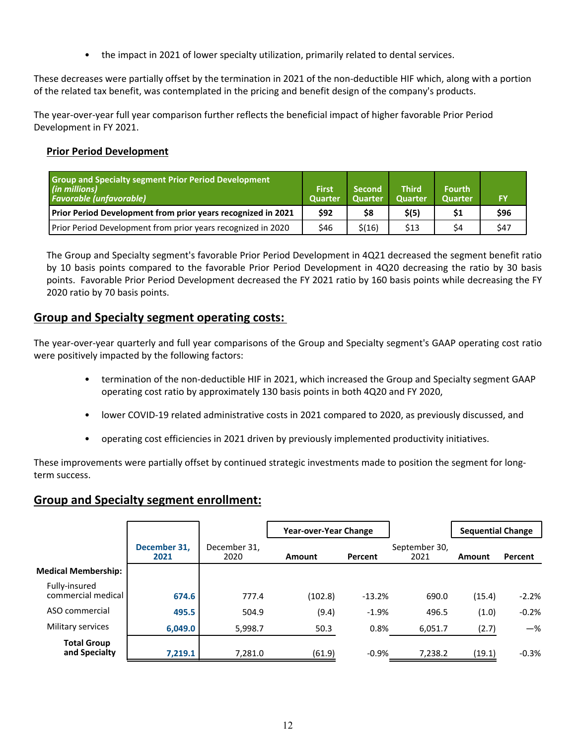• the impact in 2021 of lower specialty utilization, primarily related to dental services.

These decreases were partially offset by the termination in 2021 of the non-deductible HIF which, along with a portion of the related tax benefit, was contemplated in the pricing and benefit design of the company's products.

The year-over-year full year comparison further reflects the beneficial impact of higher favorable Prior Period Development in FY 2021.

## **Prior Period Development**

| <b>Group and Specialty segment Prior Period Development</b><br>(in millions)<br><b>Favorable (unfavorable)</b> | <b>First</b><br><b>Quarter</b> | Second<br>' Quarter | <b>Third</b><br>Ouarter | <b>Fourth</b><br><b>Quarter</b> | <b>FY</b> |
|----------------------------------------------------------------------------------------------------------------|--------------------------------|---------------------|-------------------------|---------------------------------|-----------|
| <b>Prior Period Development from prior years recognized in 2021</b>                                            | \$92                           | \$8                 | \$(5)                   | \$1                             | \$96      |
| Prior Period Development from prior years recognized in 2020                                                   | \$46                           | \$(16)              | \$13                    | Ś4                              | \$47      |

The Group and Specialty segment's favorable Prior Period Development in 4Q21 decreased the segment benefit ratio by 10 basis points compared to the favorable Prior Period Development in 4Q20 decreasing the ratio by 30 basis points. Favorable Prior Period Development decreased the FY 2021 ratio by 160 basis points while decreasing the FY 2020 ratio by 70 basis points.

## **Group and Specialty segment operating costs:**

The year-over-year quarterly and full year comparisons of the Group and Specialty segment's GAAP operating cost ratio were positively impacted by the following factors:

- termination of the non-deductible HIF in 2021, which increased the Group and Specialty segment GAAP operating cost ratio by approximately 130 basis points in both 4Q20 and FY 2020,
- lower COVID-19 related administrative costs in 2021 compared to 2020, as previously discussed, and
- operating cost efficiencies in 2021 driven by previously implemented productivity initiatives.

These improvements were partially offset by continued strategic investments made to position the segment for longterm success.

## **Group and Specialty segment enrollment:**

|                                     |                      |                      | <b>Year-over-Year Change</b> |          |                       | <b>Sequential Change</b> |         |
|-------------------------------------|----------------------|----------------------|------------------------------|----------|-----------------------|--------------------------|---------|
|                                     | December 31,<br>2021 | December 31,<br>2020 | Amount                       | Percent  | September 30,<br>2021 | Amount                   | Percent |
| <b>Medical Membership:</b>          |                      |                      |                              |          |                       |                          |         |
| Fully-insured<br>commercial medical | 674.6                | 777.4                | (102.8)                      | $-13.2%$ | 690.0                 | (15.4)                   | $-2.2%$ |
| ASO commercial                      | 495.5                | 504.9                | (9.4)                        | $-1.9%$  | 496.5                 | (1.0)                    | $-0.2%$ |
| Military services                   | 6,049.0              | 5,998.7              | 50.3                         | 0.8%     | 6,051.7               | (2.7)                    | $-\%$   |
| <b>Total Group</b><br>and Specialty | 7,219.1              | 7,281.0              | (61.9)                       | $-0.9%$  | 7,238.2               | (19.1)                   | $-0.3%$ |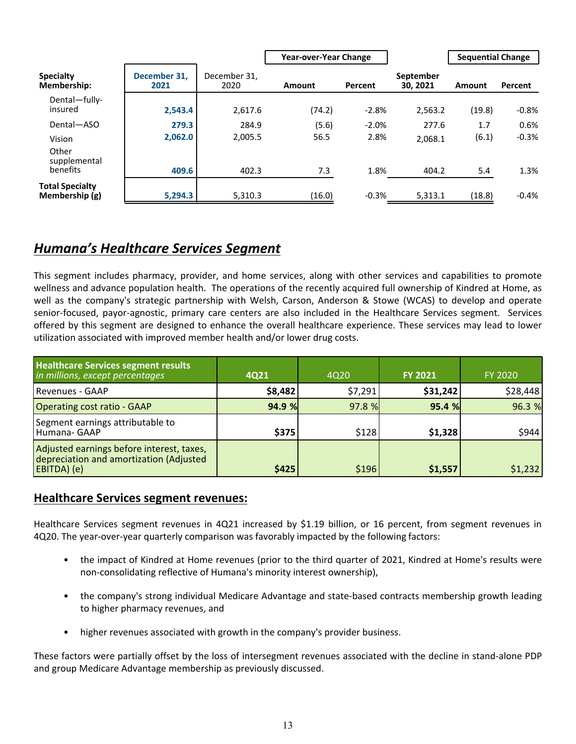|                                          |                      |                      | <b>Year-over-Year Change</b> |         |                      | <b>Sequential Change</b> |         |
|------------------------------------------|----------------------|----------------------|------------------------------|---------|----------------------|--------------------------|---------|
| <b>Specialty</b><br>Membership:          | December 31.<br>2021 | December 31.<br>2020 | Amount                       | Percent | September<br>30.2021 | Amount                   | Percent |
| Dental-fully-<br>insured                 | 2.543.4              | 2,617.6              | (74.2)                       | $-2.8%$ | 2,563.2              | (19.8)                   | $-0.8%$ |
| Dental-ASO                               | 279.3                | 284.9                | (5.6)                        | $-2.0%$ | 277.6                | 1.7                      | 0.6%    |
| Vision<br>Other<br>supplemental          | 2,062.0              | 2.005.5              | 56.5                         | 2.8%    | 2.068.1              | (6.1)                    | $-0.3%$ |
| benefits                                 | 409.6                | 402.3                | 7.3                          | 1.8%    | 404.2                | 5.4                      | 1.3%    |
| <b>Total Specialty</b><br>Membership (g) | 5,294.3              | 5,310.3              | (16.0)                       | $-0.3%$ | 5,313.1              | (18.8)                   | $-0.4%$ |

# *Humana's Healthcare Services Segment*

This segment includes pharmacy, provider, and home services, along with other services and capabilities to promote wellness and advance population health. The operations of the recently acquired full ownership of Kindred at Home, as well as the company's strategic partnership with Welsh, Carson, Anderson & Stowe (WCAS) to develop and operate senior-focused, payor-agnostic, primary care centers are also included in the Healthcare Services segment. Services offered by this segment are designed to enhance the overall healthcare experience. These services may lead to lower utilization associated with improved member health and/or lower drug costs.

| <b>Healthcare Services segment results</b><br>in millions, except percentages                         | 4Q21    | 4020    | <b>FY 2021</b> | <b>FY 2020</b> |
|-------------------------------------------------------------------------------------------------------|---------|---------|----------------|----------------|
| Revenues - GAAP                                                                                       | \$8,482 | \$7,291 | \$31,242       | \$28,448       |
| Operating cost ratio - GAAP                                                                           | 94.9%   | 97.8%   | 95.4%          | 96.3 %         |
| Segment earnings attributable to<br>l Humana- GAAP                                                    | \$375   | \$128   | \$1,328        | \$944          |
| Adjusted earnings before interest, taxes,<br>depreciation and amortization (Adjusted<br>$EBITDA)$ (e) | \$425   | \$196   | \$1,557        | \$1,232        |

## **Healthcare Services segment revenues:**

Healthcare Services segment revenues in 4Q21 increased by \$1.19 billion, or 16 percent, from segment revenues in 4Q20. The year-over-year quarterly comparison was favorably impacted by the following factors:

- the impact of Kindred at Home revenues (prior to the third quarter of 2021, Kindred at Home's results were non-consolidating reflective of Humana's minority interest ownership),
- the company's strong individual Medicare Advantage and state-based contracts membership growth leading to higher pharmacy revenues, and
- higher revenues associated with growth in the company's provider business.

These factors were partially offset by the loss of intersegment revenues associated with the decline in stand-alone PDP and group Medicare Advantage membership as previously discussed.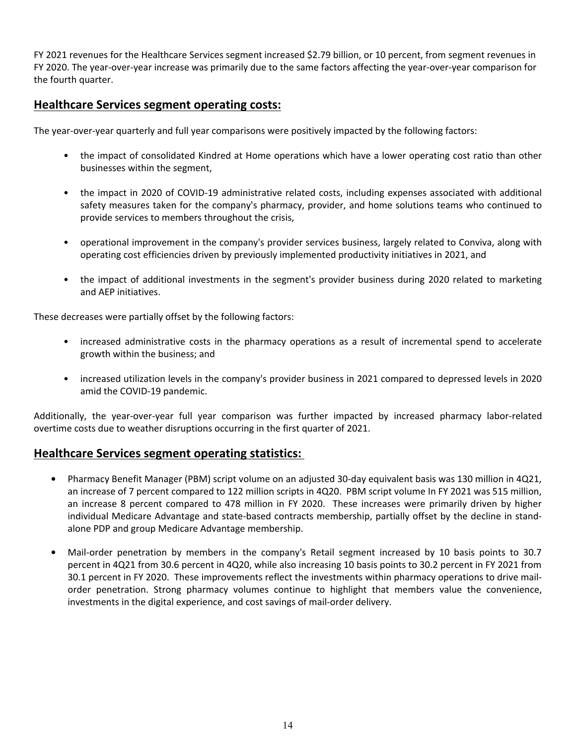FY 2021 revenues for the Healthcare Services segment increased \$2.79 billion, or 10 percent, from segment revenues in FY 2020. The year-over-year increase was primarily due to the same factors affecting the year-over-year comparison for the fourth quarter.

## **Healthcare Services segment operating costs:**

The year-over-year quarterly and full year comparisons were positively impacted by the following factors:

- the impact of consolidated Kindred at Home operations which have a lower operating cost ratio than other businesses within the segment,
- the impact in 2020 of COVID-19 administrative related costs, including expenses associated with additional safety measures taken for the company's pharmacy, provider, and home solutions teams who continued to provide services to members throughout the crisis,
- operational improvement in the company's provider services business, largely related to Conviva, along with operating cost efficiencies driven by previously implemented productivity initiatives in 2021, and
- the impact of additional investments in the segment's provider business during 2020 related to marketing and AEP initiatives.

These decreases were partially offset by the following factors:

- increased administrative costs in the pharmacy operations as a result of incremental spend to accelerate growth within the business; and
- increased utilization levels in the company's provider business in 2021 compared to depressed levels in 2020 amid the COVID-19 pandemic.

Additionally, the year-over-year full year comparison was further impacted by increased pharmacy labor-related overtime costs due to weather disruptions occurring in the first quarter of 2021.

## **Healthcare Services segment operating statistics:**

- Pharmacy Benefit Manager (PBM) script volume on an adjusted 30-day equivalent basis was 130 million in 4Q21, an increase of 7 percent compared to 122 million scripts in 4Q20. PBM script volume In FY 2021 was 515 million, an increase 8 percent compared to 478 million in FY 2020. These increases were primarily driven by higher individual Medicare Advantage and state-based contracts membership, partially offset by the decline in standalone PDP and group Medicare Advantage membership.
- Mail-order penetration by members in the company's Retail segment increased by 10 basis points to 30.7 percent in 4Q21 from 30.6 percent in 4Q20, while also increasing 10 basis points to 30.2 percent in FY 2021 from 30.1 percent in FY 2020. These improvements reflect the investments within pharmacy operations to drive mailorder penetration. Strong pharmacy volumes continue to highlight that members value the convenience, investments in the digital experience, and cost savings of mail-order delivery.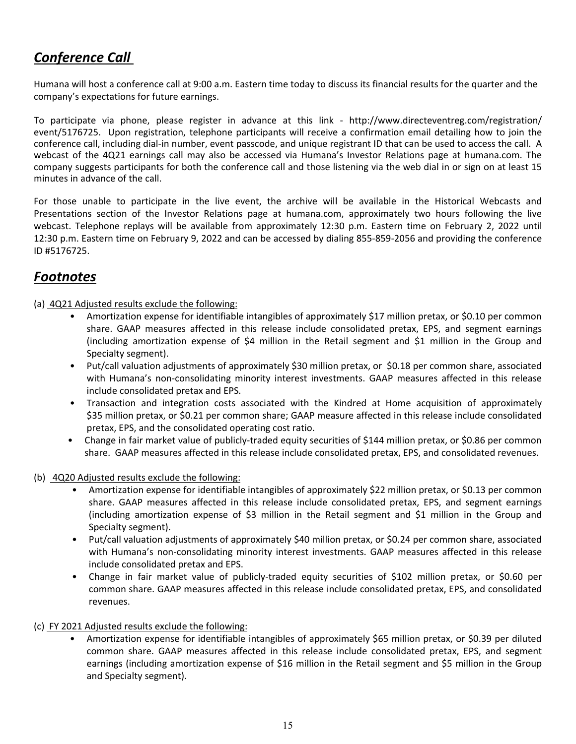# *Conference Call*

Humana will host a conference call at 9:00 a.m. Eastern time today to discuss its financial results for the quarter and the company's expectations for future earnings.

To participate via phone, please register in advance at this link - http://www.directeventreg.com/registration/ event/5176725. Upon registration, telephone participants will receive a confirmation email detailing how to join the conference call, including dial-in number, event passcode, and unique registrant ID that can be used to access the call. A webcast of the 4Q21 earnings call may also be accessed via Humana's Investor Relations page at humana.com. The company suggests participants for both the conference call and those listening via the web dial in or sign on at least 15 minutes in advance of the call.

For those unable to participate in the live event, the archive will be available in the Historical Webcasts and Presentations section of the Investor Relations page at humana.com, approximately two hours following the live webcast. Telephone replays will be available from approximately 12:30 p.m. Eastern time on February 2, 2022 until 12:30 p.m. Eastern time on February 9, 2022 and can be accessed by dialing 855-859-2056 and providing the conference ID #5176725.

# *Footnotes*

(a) 4Q21 Adjusted results exclude the following:

- Amortization expense for identifiable intangibles of approximately \$17 million pretax, or \$0.10 per common share. GAAP measures affected in this release include consolidated pretax, EPS, and segment earnings (including amortization expense of \$4 million in the Retail segment and \$1 million in the Group and Specialty segment).
- Put/call valuation adjustments of approximately \$30 million pretax, or \$0.18 per common share, associated with Humana's non-consolidating minority interest investments. GAAP measures affected in this release include consolidated pretax and EPS.
- Transaction and integration costs associated with the Kindred at Home acquisition of approximately \$35 million pretax, or \$0.21 per common share; GAAP measure affected in this release include consolidated pretax, EPS, and the consolidated operating cost ratio.
- Change in fair market value of publicly-traded equity securities of \$144 million pretax, or \$0.86 per common share. GAAP measures affected in this release include consolidated pretax, EPS, and consolidated revenues.
- (b) 4Q20 Adjusted results exclude the following:
	- Amortization expense for identifiable intangibles of approximately \$22 million pretax, or \$0.13 per common share. GAAP measures affected in this release include consolidated pretax, EPS, and segment earnings (including amortization expense of \$3 million in the Retail segment and \$1 million in the Group and Specialty segment).
	- Put/call valuation adjustments of approximately \$40 million pretax, or \$0.24 per common share, associated with Humana's non-consolidating minority interest investments. GAAP measures affected in this release include consolidated pretax and EPS.
	- Change in fair market value of publicly-traded equity securities of \$102 million pretax, or \$0.60 per common share. GAAP measures affected in this release include consolidated pretax, EPS, and consolidated revenues.

#### (c) FY 2021 Adjusted results exclude the following:

• Amortization expense for identifiable intangibles of approximately \$65 million pretax, or \$0.39 per diluted common share. GAAP measures affected in this release include consolidated pretax, EPS, and segment earnings (including amortization expense of \$16 million in the Retail segment and \$5 million in the Group and Specialty segment).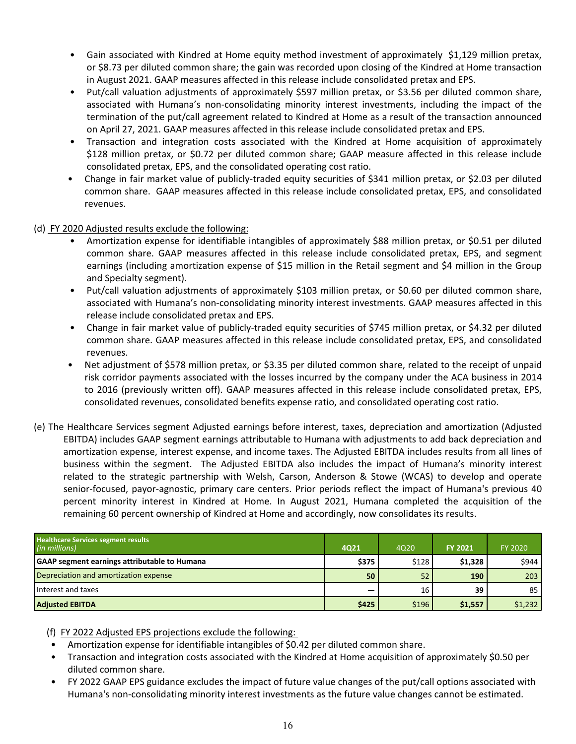- Gain associated with Kindred at Home equity method investment of approximately \$1,129 million pretax, or \$8.73 per diluted common share; the gain was recorded upon closing of the Kindred at Home transaction in August 2021. GAAP measures affected in this release include consolidated pretax and EPS.
- Put/call valuation adjustments of approximately \$597 million pretax, or \$3.56 per diluted common share, associated with Humana's non-consolidating minority interest investments, including the impact of the termination of the put/call agreement related to Kindred at Home as a result of the transaction announced on April 27, 2021. GAAP measures affected in this release include consolidated pretax and EPS.
- Transaction and integration costs associated with the Kindred at Home acquisition of approximately \$128 million pretax, or \$0.72 per diluted common share; GAAP measure affected in this release include consolidated pretax, EPS, and the consolidated operating cost ratio.
- Change in fair market value of publicly-traded equity securities of \$341 million pretax, or \$2.03 per diluted common share. GAAP measures affected in this release include consolidated pretax, EPS, and consolidated revenues.
- (d) FY 2020 Adjusted results exclude the following:
	- Amortization expense for identifiable intangibles of approximately \$88 million pretax, or \$0.51 per diluted common share. GAAP measures affected in this release include consolidated pretax, EPS, and segment earnings (including amortization expense of \$15 million in the Retail segment and \$4 million in the Group and Specialty segment).
	- Put/call valuation adjustments of approximately \$103 million pretax, or \$0.60 per diluted common share, associated with Humana's non-consolidating minority interest investments. GAAP measures affected in this release include consolidated pretax and EPS.
	- Change in fair market value of publicly-traded equity securities of \$745 million pretax, or \$4.32 per diluted common share. GAAP measures affected in this release include consolidated pretax, EPS, and consolidated revenues.
	- Net adjustment of \$578 million pretax, or \$3.35 per diluted common share, related to the receipt of unpaid risk corridor payments associated with the losses incurred by the company under the ACA business in 2014 to 2016 (previously written off). GAAP measures affected in this release include consolidated pretax, EPS, consolidated revenues, consolidated benefits expense ratio, and consolidated operating cost ratio.
- (e) The Healthcare Services segment Adjusted earnings before interest, taxes, depreciation and amortization (Adjusted EBITDA) includes GAAP segment earnings attributable to Humana with adjustments to add back depreciation and amortization expense, interest expense, and income taxes. The Adjusted EBITDA includes results from all lines of business within the segment. The Adjusted EBITDA also includes the impact of Humana's minority interest related to the strategic partnership with Welsh, Carson, Anderson & Stowe (WCAS) to develop and operate senior-focused, payor-agnostic, primary care centers. Prior periods reflect the impact of Humana's previous 40 percent minority interest in Kindred at Home. In August 2021, Humana completed the acquisition of the remaining 60 percent ownership of Kindred at Home and accordingly, now consolidates its results.

| <b>Healthcare Services segment results</b><br>(in millions) | 4021  | 4020  | <b>FY 2021</b> | <b>FY 2020</b> |
|-------------------------------------------------------------|-------|-------|----------------|----------------|
| <b>GAAP segment earnings attributable to Humana</b>         | \$375 | \$128 | \$1,328        | \$944          |
| Depreciation and amortization expense                       | 50    | 52    | 190            | 203            |
| Interest and taxes                                          |       | 16    | 39             | 85             |
| <b>Adjusted EBITDA</b>                                      | \$425 | \$196 | \$1,557        | \$1,232        |

(f)  $FY$  2022 Adjusted EPS projections exclude the following:

- Amortization expense for identifiable intangibles of \$0.42 per diluted common share.
- Transaction and integration costs associated with the Kindred at Home acquisition of approximately \$0.50 per diluted common share.
- FY 2022 GAAP EPS guidance excludes the impact of future value changes of the put/call options associated with Humana's non-consolidating minority interest investments as the future value changes cannot be estimated.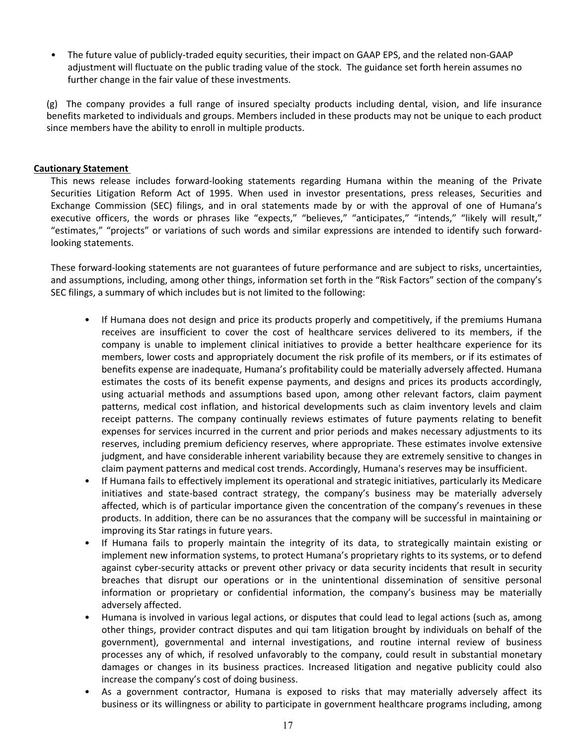• The future value of publicly-traded equity securities, their impact on GAAP EPS, and the related non-GAAP adjustment will fluctuate on the public trading value of the stock. The guidance set forth herein assumes no further change in the fair value of these investments.

 $(g)$  The company provides a full range of insured specialty products including dental, vision, and life insurance benefits marketed to individuals and groups. Members included in these products may not be unique to each product since members have the ability to enroll in multiple products.

#### **Cautionary Statement**

This news release includes forward-looking statements regarding Humana within the meaning of the Private Securities Litigation Reform Act of 1995. When used in investor presentations, press releases, Securities and Exchange Commission (SEC) filings, and in oral statements made by or with the approval of one of Humana's executive officers, the words or phrases like "expects," "believes," "anticipates," "intends," "likely will result," "estimates," "projects" or variations of such words and similar expressions are intended to identify such forwardlooking statements.

These forward-looking statements are not guarantees of future performance and are subject to risks, uncertainties, and assumptions, including, among other things, information set forth in the "Risk Factors" section of the company's SEC filings, a summary of which includes but is not limited to the following:

- If Humana does not design and price its products properly and competitively, if the premiums Humana receives are insufficient to cover the cost of healthcare services delivered to its members, if the company is unable to implement clinical initiatives to provide a better healthcare experience for its members, lower costs and appropriately document the risk profile of its members, or if its estimates of benefits expense are inadequate, Humana's profitability could be materially adversely affected. Humana estimates the costs of its benefit expense payments, and designs and prices its products accordingly, using actuarial methods and assumptions based upon, among other relevant factors, claim payment patterns, medical cost inflation, and historical developments such as claim inventory levels and claim receipt patterns. The company continually reviews estimates of future payments relating to benefit expenses for services incurred in the current and prior periods and makes necessary adjustments to its reserves, including premium deficiency reserves, where appropriate. These estimates involve extensive judgment, and have considerable inherent variability because they are extremely sensitive to changes in claim payment patterns and medical cost trends. Accordingly, Humana's reserves may be insufficient.
- If Humana fails to effectively implement its operational and strategic initiatives, particularly its Medicare initiatives and state-based contract strategy, the company's business may be materially adversely affected, which is of particular importance given the concentration of the company's revenues in these products. In addition, there can be no assurances that the company will be successful in maintaining or improving its Star ratings in future years.
- If Humana fails to properly maintain the integrity of its data, to strategically maintain existing or implement new information systems, to protect Humana's proprietary rights to its systems, or to defend against cyber-security attacks or prevent other privacy or data security incidents that result in security breaches that disrupt our operations or in the unintentional dissemination of sensitive personal information or proprietary or confidential information, the company's business may be materially adversely affected.
- Humana is involved in various legal actions, or disputes that could lead to legal actions (such as, among other things, provider contract disputes and qui tam litigation brought by individuals on behalf of the government), governmental and internal investigations, and routine internal review of business processes any of which, if resolved unfavorably to the company, could result in substantial monetary damages or changes in its business practices. Increased litigation and negative publicity could also increase the company's cost of doing business.
- As a government contractor, Humana is exposed to risks that may materially adversely affect its business or its willingness or ability to participate in government healthcare programs including, among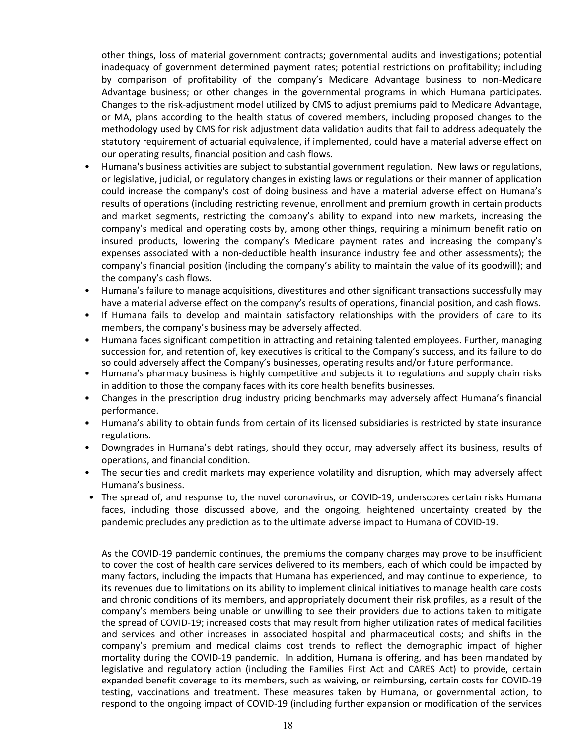other things, loss of material government contracts; governmental audits and investigations; potential inadequacy of government determined payment rates; potential restrictions on profitability; including by comparison of profitability of the company's Medicare Advantage business to non-Medicare Advantage business; or other changes in the governmental programs in which Humana participates. Changes to the risk-adjustment model utilized by CMS to adjust premiums paid to Medicare Advantage, or MA, plans according to the health status of covered members, including proposed changes to the methodology used by CMS for risk adjustment data validation audits that fail to address adequately the statutory requirement of actuarial equivalence, if implemented, could have a material adverse effect on our operating results, financial position and cash flows.

- Humana's business activities are subject to substantial government regulation. New laws or regulations, or legislative, judicial, or regulatory changes in existing laws or regulations or their manner of application could increase the company's cost of doing business and have a material adverse effect on Humana's results of operations (including restricting revenue, enrollment and premium growth in certain products and market segments, restricting the company's ability to expand into new markets, increasing the company's medical and operating costs by, among other things, requiring a minimum benefit ratio on insured products, lowering the company's Medicare payment rates and increasing the company's expenses associated with a non-deductible health insurance industry fee and other assessments); the company's financial position (including the company's ability to maintain the value of its goodwill); and the company's cash flows.
- Humana's failure to manage acquisitions, divestitures and other significant transactions successfully may have a material adverse effect on the company's results of operations, financial position, and cash flows.
- If Humana fails to develop and maintain satisfactory relationships with the providers of care to its members, the company's business may be adversely affected.
- Humana faces significant competition in attracting and retaining talented employees. Further, managing succession for, and retention of, key executives is critical to the Company's success, and its failure to do so could adversely affect the Company's businesses, operating results and/or future performance.
- Humana's pharmacy business is highly competitive and subjects it to regulations and supply chain risks in addition to those the company faces with its core health benefits businesses.
- Changes in the prescription drug industry pricing benchmarks may adversely affect Humana's financial performance.
- Humana's ability to obtain funds from certain of its licensed subsidiaries is restricted by state insurance regulations.
- Downgrades in Humana's debt ratings, should they occur, may adversely affect its business, results of operations, and financial condition.
- The securities and credit markets may experience volatility and disruption, which may adversely affect Humana's business.
- The spread of, and response to, the novel coronavirus, or COVID-19, underscores certain risks Humana faces, including those discussed above, and the ongoing, heightened uncertainty created by the pandemic precludes any prediction as to the ultimate adverse impact to Humana of COVID-19.

As the COVID-19 pandemic continues, the premiums the company charges may prove to be insufficient to cover the cost of health care services delivered to its members, each of which could be impacted by many factors, including the impacts that Humana has experienced, and may continue to experience, to its revenues due to limitations on its ability to implement clinical initiatives to manage health care costs and chronic conditions of its members, and appropriately document their risk profiles, as a result of the company's members being unable or unwilling to see their providers due to actions taken to mitigate the spread of COVID-19; increased costs that may result from higher utilization rates of medical facilities and services and other increases in associated hospital and pharmaceutical costs; and shifts in the company's premium and medical claims cost trends to reflect the demographic impact of higher mortality during the COVID-19 pandemic. In addition, Humana is offering, and has been mandated by legislative and regulatory action (including the Families First Act and CARES Act) to provide, certain expanded benefit coverage to its members, such as waiving, or reimbursing, certain costs for COVID-19 testing, vaccinations and treatment. These measures taken by Humana, or governmental action, to respond to the ongoing impact of COVID-19 (including further expansion or modification of the services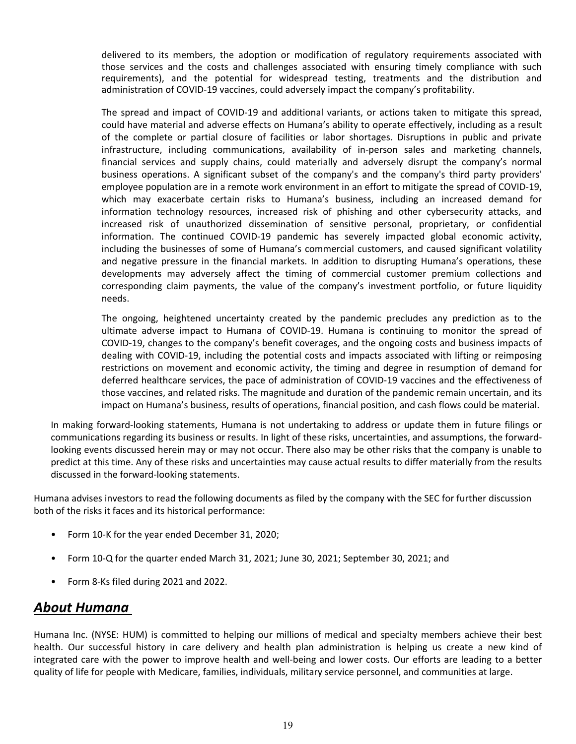delivered to its members, the adoption or modification of regulatory requirements associated with those services and the costs and challenges associated with ensuring timely compliance with such requirements), and the potential for widespread testing, treatments and the distribution and administration of COVID-19 vaccines, could adversely impact the company's profitability.

The spread and impact of COVID-19 and additional variants, or actions taken to mitigate this spread, could have material and adverse effects on Humana's ability to operate effectively, including as a result of the complete or partial closure of facilities or labor shortages. Disruptions in public and private infrastructure, including communications, availability of in-person sales and marketing channels, financial services and supply chains, could materially and adversely disrupt the company's normal business operations. A significant subset of the company's and the company's third party providers' employee population are in a remote work environment in an effort to mitigate the spread of COVID-19, which may exacerbate certain risks to Humana's business, including an increased demand for information technology resources, increased risk of phishing and other cybersecurity attacks, and increased risk of unauthorized dissemination of sensitive personal, proprietary, or confidential information. The continued COVID-19 pandemic has severely impacted global economic activity, including the businesses of some of Humana's commercial customers, and caused significant volatility and negative pressure in the financial markets. In addition to disrupting Humana's operations, these developments may adversely affect the timing of commercial customer premium collections and corresponding claim payments, the value of the company's investment portfolio, or future liquidity needs.

The ongoing, heightened uncertainty created by the pandemic precludes any prediction as to the ultimate adverse impact to Humana of COVID-19. Humana is continuing to monitor the spread of COVID-19, changes to the company's benefit coverages, and the ongoing costs and business impacts of dealing with COVID-19, including the potential costs and impacts associated with lifting or reimposing restrictions on movement and economic activity, the timing and degree in resumption of demand for deferred healthcare services, the pace of administration of COVID-19 vaccines and the effectiveness of those vaccines, and related risks. The magnitude and duration of the pandemic remain uncertain, and its impact on Humana's business, results of operations, financial position, and cash flows could be material.

In making forward-looking statements, Humana is not undertaking to address or update them in future filings or communications regarding its business or results. In light of these risks, uncertainties, and assumptions, the forwardlooking events discussed herein may or may not occur. There also may be other risks that the company is unable to predict at this time. Any of these risks and uncertainties may cause actual results to differ materially from the results discussed in the forward-looking statements.

Humana advises investors to read the following documents as filed by the company with the SEC for further discussion both of the risks it faces and its historical performance:

- Form 10-K for the year ended December 31, 2020;
- Form 10-Q for the quarter ended March 31, 2021; June 30, 2021; September 30, 2021; and
- Form 8-Ks filed during 2021 and 2022.

# *About Humana*

Humana Inc. (NYSE: HUM) is committed to helping our millions of medical and specialty members achieve their best health. Our successful history in care delivery and health plan administration is helping us create a new kind of integrated care with the power to improve health and well-being and lower costs. Our efforts are leading to a better quality of life for people with Medicare, families, individuals, military service personnel, and communities at large.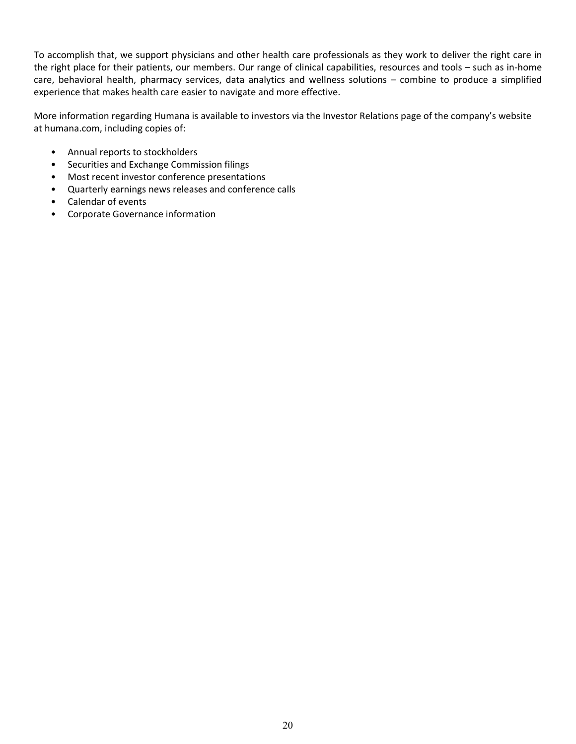To accomplish that, we support physicians and other health care professionals as they work to deliver the right care in the right place for their patients, our members. Our range of clinical capabilities, resources and tools – such as in-home care, behavioral health, pharmacy services, data analytics and wellness solutions – combine to produce a simplified experience that makes health care easier to navigate and more effective.

More information regarding Humana is available to investors via the Investor Relations page of the company's website at humana.com, including copies of:

- Annual reports to stockholders
- Securities and Exchange Commission filings
- Most recent investor conference presentations
- Quarterly earnings news releases and conference calls
- Calendar of events
- Corporate Governance information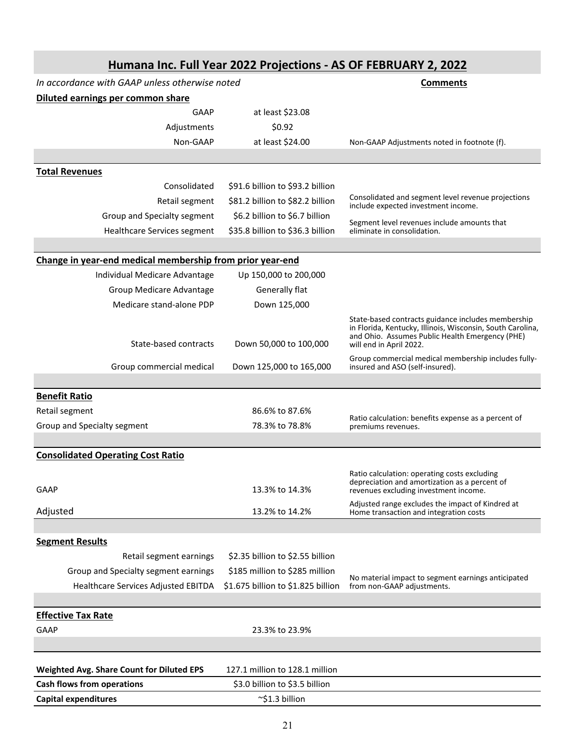|                                                           | Humana Inc. Full Year 2022 Projections - AS OF FEBRUARY 2, 2022 |                                                                                                                                                                                                |
|-----------------------------------------------------------|-----------------------------------------------------------------|------------------------------------------------------------------------------------------------------------------------------------------------------------------------------------------------|
| In accordance with GAAP unless otherwise noted            |                                                                 | <b>Comments</b>                                                                                                                                                                                |
| Diluted earnings per common share                         |                                                                 |                                                                                                                                                                                                |
| GAAP                                                      | at least \$23.08                                                |                                                                                                                                                                                                |
| Adjustments                                               | \$0.92                                                          |                                                                                                                                                                                                |
| Non-GAAP                                                  | at least \$24.00                                                | Non-GAAP Adjustments noted in footnote (f).                                                                                                                                                    |
|                                                           |                                                                 |                                                                                                                                                                                                |
| <b>Total Revenues</b>                                     |                                                                 |                                                                                                                                                                                                |
| Consolidated                                              | \$91.6 billion to \$93.2 billion                                |                                                                                                                                                                                                |
| Retail segment                                            | \$81.2 billion to \$82.2 billion                                | Consolidated and segment level revenue projections<br>include expected investment income.                                                                                                      |
| Group and Specialty segment                               | \$6.2 billion to \$6.7 billion                                  | Segment level revenues include amounts that                                                                                                                                                    |
| Healthcare Services segment                               | \$35.8 billion to \$36.3 billion                                | eliminate in consolidation.                                                                                                                                                                    |
|                                                           |                                                                 |                                                                                                                                                                                                |
| Change in year-end medical membership from prior year-end |                                                                 |                                                                                                                                                                                                |
| Individual Medicare Advantage                             | Up 150,000 to 200,000                                           |                                                                                                                                                                                                |
| Group Medicare Advantage                                  | Generally flat                                                  |                                                                                                                                                                                                |
| Medicare stand-alone PDP                                  | Down 125,000                                                    |                                                                                                                                                                                                |
| State-based contracts                                     | Down 50,000 to 100,000                                          | State-based contracts guidance includes membership<br>in Florida, Kentucky, Illinois, Wisconsin, South Carolina,<br>and Ohio. Assumes Public Health Emergency (PHE)<br>will end in April 2022. |
|                                                           |                                                                 | Group commercial medical membership includes fully-                                                                                                                                            |
| Group commercial medical                                  | Down 125,000 to 165,000                                         | insured and ASO (self-insured).                                                                                                                                                                |
|                                                           |                                                                 |                                                                                                                                                                                                |
| <b>Benefit Ratio</b>                                      |                                                                 |                                                                                                                                                                                                |
| Retail segment                                            | 86.6% to 87.6%                                                  | Ratio calculation: benefits expense as a percent of                                                                                                                                            |
| Group and Specialty segment                               | 78.3% to 78.8%                                                  | premiums revenues.                                                                                                                                                                             |
| <b>Consolidated Operating Cost Ratio</b>                  |                                                                 |                                                                                                                                                                                                |
|                                                           |                                                                 |                                                                                                                                                                                                |
| <b>GAAP</b>                                               | 13.3% to 14.3%                                                  | Ratio calculation: operating costs excluding<br>depreciation and amortization as a percent of<br>revenues excluding investment income.                                                         |
| Adjusted                                                  | 13.2% to 14.2%                                                  | Adjusted range excludes the impact of Kindred at<br>Home transaction and integration costs                                                                                                     |
|                                                           |                                                                 |                                                                                                                                                                                                |
| <b>Segment Results</b>                                    |                                                                 |                                                                                                                                                                                                |
| Retail segment earnings                                   | \$2.35 billion to \$2.55 billion                                |                                                                                                                                                                                                |
| Group and Specialty segment earnings                      | \$185 million to \$285 million                                  |                                                                                                                                                                                                |
| Healthcare Services Adjusted EBITDA                       | \$1.675 billion to \$1.825 billion                              | No material impact to segment earnings anticipated<br>from non-GAAP adjustments.                                                                                                               |
|                                                           |                                                                 |                                                                                                                                                                                                |
| <b>Effective Tax Rate</b>                                 |                                                                 |                                                                                                                                                                                                |
| GAAP                                                      | 23.3% to 23.9%                                                  |                                                                                                                                                                                                |
|                                                           |                                                                 |                                                                                                                                                                                                |
|                                                           |                                                                 |                                                                                                                                                                                                |
| <b>Weighted Avg. Share Count for Diluted EPS</b>          | 127.1 million to 128.1 million                                  |                                                                                                                                                                                                |
| <b>Cash flows from operations</b>                         | \$3.0 billion to \$3.5 billion                                  |                                                                                                                                                                                                |
| <b>Capital expenditures</b>                               | $\sim$ \$1.3 billion                                            |                                                                                                                                                                                                |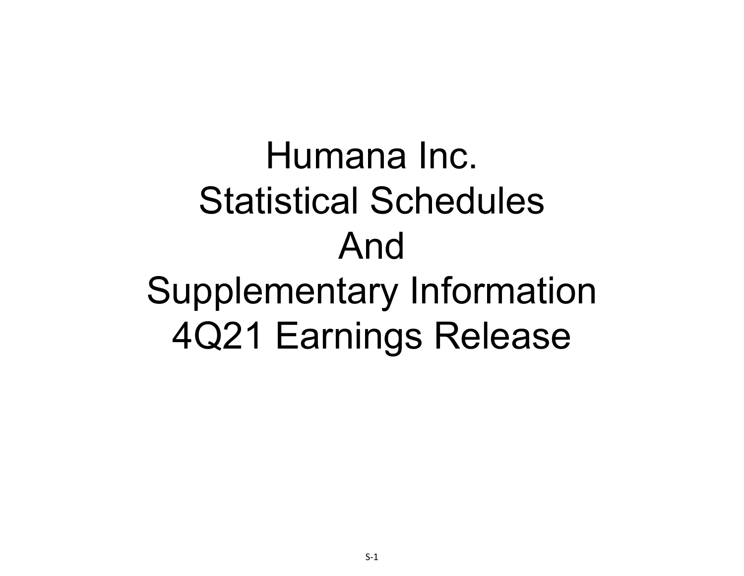# Humana Inc. Statistical Schedules And Supplementary Information 4Q21 Earnings Release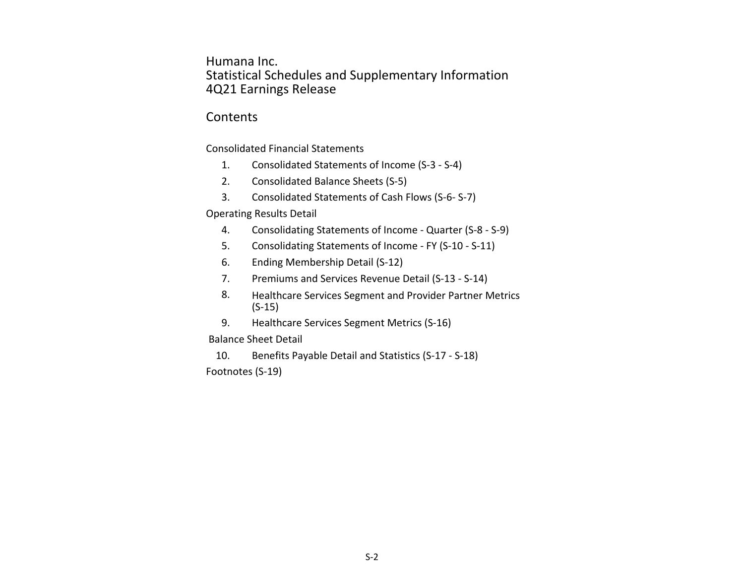Humana Inc. Statistical Schedules and Supplementary Information 4Q21 Earnings Release 

## **Contents**

Consolidated Financial Statements

- 1. Consolidated Statements of Income (S-3 S-4)
- 2. Consolidated Balance Sheets (S-5)
- 3. Consolidated Statements of Cash Flows (S-6- S-7)

**Operating Results Detail** 

- 4. Consolidating Statements of Income Quarter (S-8 S-9)
- 5. Consolidating Statements of Income FY (S-10 S-11)
- 6. Ending Membership Detail (S-12)
- 7. Premiums and Services Revenue Detail (S-13 S-14)
- 8. Healthcare Services Segment and Provider Partner Metrics (S-15)
- 9. Healthcare Services Segment Metrics (S-16)

 Balance Sheet Detail

10. Benefits Payable Detail and Statistics (S-17 - S-18)

Footnotes (S-19)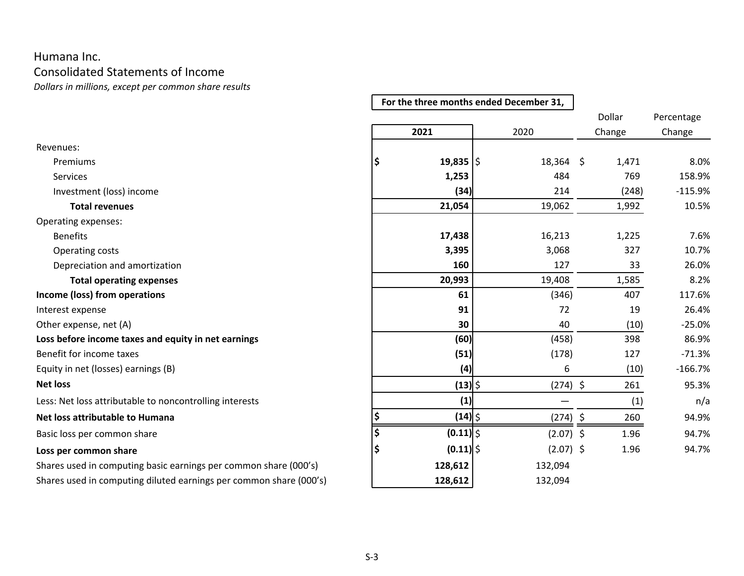# Humana Inc. Consolidated Statements of Income Dollars in millions, except per common share results

|                                                                    | For the three months ended December 31, |             |  |                  |                      |
|--------------------------------------------------------------------|-----------------------------------------|-------------|--|------------------|----------------------|
|                                                                    | 2021                                    | 2020        |  | Dollar<br>Change | Percentage<br>Change |
| Revenues:                                                          |                                         |             |  |                  |                      |
| Premiums                                                           | \$<br>$19,835$   \$                     | $18,364$ \$ |  | 1,471            | 8.0%                 |
| <b>Services</b>                                                    | 1,253                                   | 484         |  | 769              | 158.9%               |
| Investment (loss) income                                           | (34)                                    | 214         |  | (248)            | $-115.9%$            |
| <b>Total revenues</b>                                              | 21,054                                  | 19,062      |  | 1,992            | 10.5%                |
| Operating expenses:                                                |                                         |             |  |                  |                      |
| <b>Benefits</b>                                                    | 17,438                                  | 16,213      |  | 1,225            | 7.6%                 |
| Operating costs                                                    | 3,395                                   | 3,068       |  | 327              | 10.7%                |
| Depreciation and amortization                                      | 160                                     | 127         |  | 33               | 26.0%                |
| <b>Total operating expenses</b>                                    | 20,993                                  | 19,408      |  | 1,585            | 8.2%                 |
| Income (loss) from operations                                      | 61                                      | (346)       |  | 407              | 117.6%               |
| Interest expense                                                   | 91                                      | 72          |  | 19               | 26.4%                |
| Other expense, net (A)                                             | 30                                      | 40          |  | (10)             | $-25.0%$             |
| Loss before income taxes and equity in net earnings                | (60)                                    | (458)       |  | 398              | 86.9%                |
| Benefit for income taxes                                           | (51)                                    | (178)       |  | 127              | $-71.3%$             |
| Equity in net (losses) earnings (B)                                | (4)                                     | 6           |  | (10)             | $-166.7%$            |
| <b>Net loss</b>                                                    | $(13) \,$ \$                            | $(274)$ \$  |  | 261              | 95.3%                |
| Less: Net loss attributable to noncontrolling interests            | (1)                                     |             |  | (1)              | n/a                  |
| Net loss attributable to Humana                                    | \$<br>$(14)$ \$                         | $(274)$ \$  |  | 260              | 94.9%                |
| Basic loss per common share                                        | \$<br>$(0.11) \zeta$                    | $(2.07)$ \$ |  | 1.96             | 94.7%                |
| Loss per common share                                              | \$<br>$(0.11) \,$ \$                    | $(2.07)$ \$ |  | 1.96             | 94.7%                |
| Shares used in computing basic earnings per common share (000's)   | 128,612                                 | 132,094     |  |                  |                      |
| Shares used in computing diluted earnings per common share (000's) | 128,612                                 | 132,094     |  |                  |                      |
|                                                                    |                                         |             |  |                  |                      |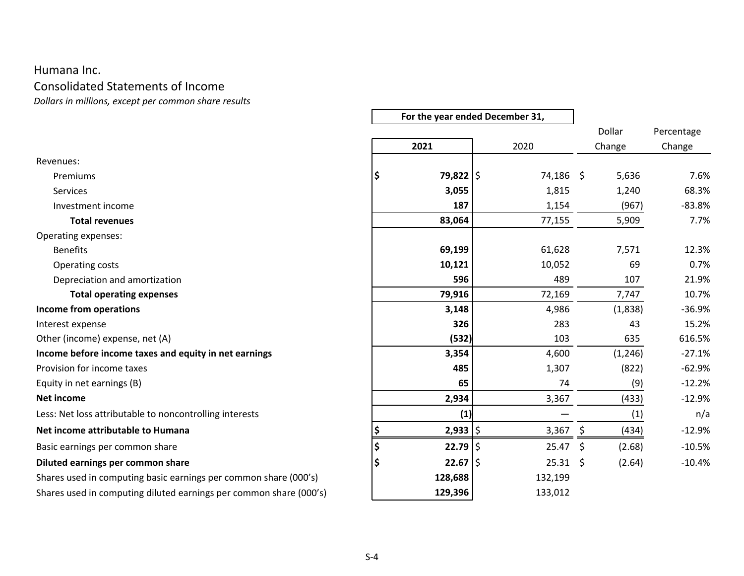# Humana Inc. Consolidated Statements of Income Dollars in millions, except per common share results

|                                                                    | For the year ended December 31, |                 |         |          |            |
|--------------------------------------------------------------------|---------------------------------|-----------------|---------|----------|------------|
|                                                                    |                                 |                 |         | Dollar   | Percentage |
|                                                                    | 2021                            | 2020            |         | Change   | Change     |
| Revenues:                                                          |                                 |                 |         |          |            |
| Premiums                                                           | 79,822  \$                      | 74,186 \$       |         | 5,636    | 7.6%       |
| Services                                                           | 3,055                           | 1,815           |         | 1,240    | 68.3%      |
| Investment income                                                  | 187                             | 1,154           |         | (967)    | $-83.8%$   |
| <b>Total revenues</b>                                              | 83,064                          | 77,155          |         | 5,909    | 7.7%       |
| Operating expenses:                                                |                                 |                 |         |          |            |
| <b>Benefits</b>                                                    | 69,199                          | 61,628          |         | 7,571    | 12.3%      |
| Operating costs                                                    | 10,121                          | 10,052          |         | 69       | 0.7%       |
| Depreciation and amortization                                      | 596                             | 489             |         | 107      | 21.9%      |
| <b>Total operating expenses</b>                                    | 79,916                          | 72,169          |         | 7,747    | 10.7%      |
| Income from operations                                             | 3,148                           | 4,986           |         | (1,838)  | $-36.9%$   |
| Interest expense                                                   | 326                             | 283             |         | 43       | 15.2%      |
| Other (income) expense, net (A)                                    | (532)                           | 103             |         | 635      | 616.5%     |
| Income before income taxes and equity in net earnings              | 3,354                           | 4,600           |         | (1, 246) | $-27.1%$   |
| Provision for income taxes                                         | 485                             | 1,307           |         | (822)    | $-62.9%$   |
| Equity in net earnings (B)                                         | 65                              | 74              |         | (9)      | $-12.2%$   |
| <b>Net income</b>                                                  | 2,934                           | 3,367           |         | (433)    | $-12.9%$   |
| Less: Net loss attributable to noncontrolling interests            | (1)                             |                 |         | (1)      | n/a        |
| Net income attributable to Humana                                  | $2,933$  \$                     | 3,367           | -S      | (434)    | $-12.9%$   |
| Basic earnings per common share                                    | 22.79                           | l\$<br>25.47    | $\zeta$ | (2.68)   | $-10.5%$   |
| Diluted earnings per common share                                  | $22.67$   \$                    | $25.31 \quad $$ |         | (2.64)   | $-10.4%$   |
| Shares used in computing basic earnings per common share (000's)   | 128,688                         | 132,199         |         |          |            |
| Shares used in computing diluted earnings per common share (000's) | 129,396                         | 133,012         |         |          |            |

л

┑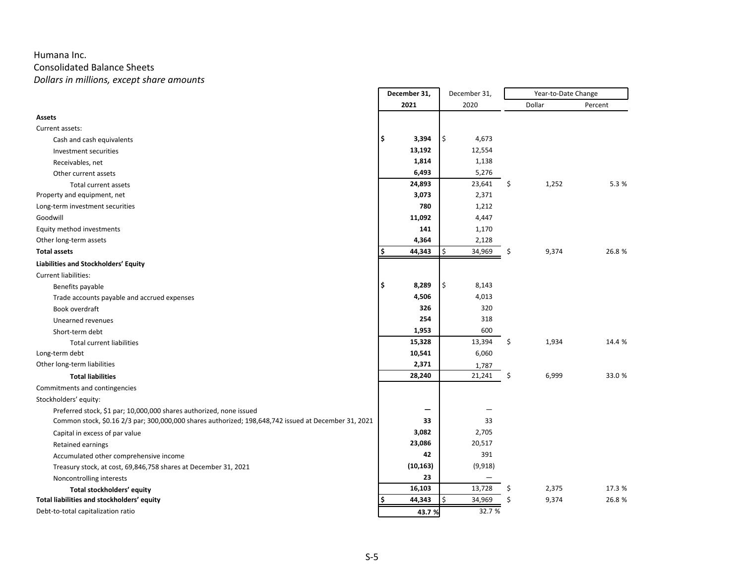## Humana Inc. Consolidated Balance Sheets **Dollars** in millions, except share amounts

|                                                                                                      | December 31, | December 31,             | Year-to-Date Change |         |  |
|------------------------------------------------------------------------------------------------------|--------------|--------------------------|---------------------|---------|--|
|                                                                                                      | 2021         | 2020                     | Dollar              | Percent |  |
| <b>Assets</b>                                                                                        |              |                          |                     |         |  |
| Current assets:                                                                                      |              |                          |                     |         |  |
| Cash and cash equivalents                                                                            | \$<br>3,394  | \$<br>4,673              |                     |         |  |
| Investment securities                                                                                | 13,192       | 12,554                   |                     |         |  |
| Receivables, net                                                                                     | 1,814        | 1,138                    |                     |         |  |
| Other current assets                                                                                 | 6,493        | 5,276                    |                     |         |  |
| Total current assets                                                                                 | 24,893       | 23,641                   | \$<br>1,252         | 5.3 %   |  |
| Property and equipment, net                                                                          | 3,073        | 2,371                    |                     |         |  |
| Long-term investment securities                                                                      | 780          | 1,212                    |                     |         |  |
| Goodwill                                                                                             | 11,092       | 4,447                    |                     |         |  |
| Equity method investments                                                                            | 141          | 1,170                    |                     |         |  |
| Other long-term assets                                                                               | 4,364        | 2,128                    |                     |         |  |
| <b>Total assets</b>                                                                                  | \$<br>44,343 | \$<br>34,969             | \$<br>9,374         | 26.8%   |  |
| Liabilities and Stockholders' Equity                                                                 |              |                          |                     |         |  |
| <b>Current liabilities:</b>                                                                          |              |                          |                     |         |  |
| Benefits payable                                                                                     | \$<br>8,289  | \$<br>8,143              |                     |         |  |
| Trade accounts payable and accrued expenses                                                          | 4,506        | 4,013                    |                     |         |  |
| Book overdraft                                                                                       | 326          | 320                      |                     |         |  |
| Unearned revenues                                                                                    | 254          | 318                      |                     |         |  |
| Short-term debt                                                                                      | 1,953        | 600                      |                     |         |  |
| <b>Total current liabilities</b>                                                                     | 15,328       | 13,394                   | \$<br>1,934         | 14.4 %  |  |
| Long-term debt                                                                                       | 10,541       | 6,060                    |                     |         |  |
| Other long-term liabilities                                                                          | 2,371        | 1,787                    |                     |         |  |
| <b>Total liabilities</b>                                                                             | 28,240       | 21,241                   | \$<br>6,999         | 33.0 %  |  |
| Commitments and contingencies                                                                        |              |                          |                     |         |  |
| Stockholders' equity:                                                                                |              |                          |                     |         |  |
| Preferred stock, \$1 par; 10,000,000 shares authorized, none issued                                  |              |                          |                     |         |  |
| Common stock, \$0.16 2/3 par; 300,000,000 shares authorized; 198,648,742 issued at December 31, 2021 | 33           | 33                       |                     |         |  |
| Capital in excess of par value                                                                       | 3,082        | 2,705                    |                     |         |  |
| <b>Retained earnings</b>                                                                             | 23,086       | 20,517                   |                     |         |  |
| Accumulated other comprehensive income                                                               | 42           | 391                      |                     |         |  |
| Treasury stock, at cost, 69,846,758 shares at December 31, 2021                                      | (10, 163)    | (9, 918)                 |                     |         |  |
| Noncontrolling interests                                                                             | 23           | $\overline{\phantom{0}}$ |                     |         |  |
| Total stockholders' equity                                                                           | 16,103       | 13,728                   | \$<br>2,375         | 17.3 %  |  |
| Total liabilities and stockholders' equity                                                           | 44,343       | \$<br>34,969             | \$<br>9,374         | 26.8%   |  |
| Debt-to-total capitalization ratio                                                                   | 43.7 %       | 32.7 %                   |                     |         |  |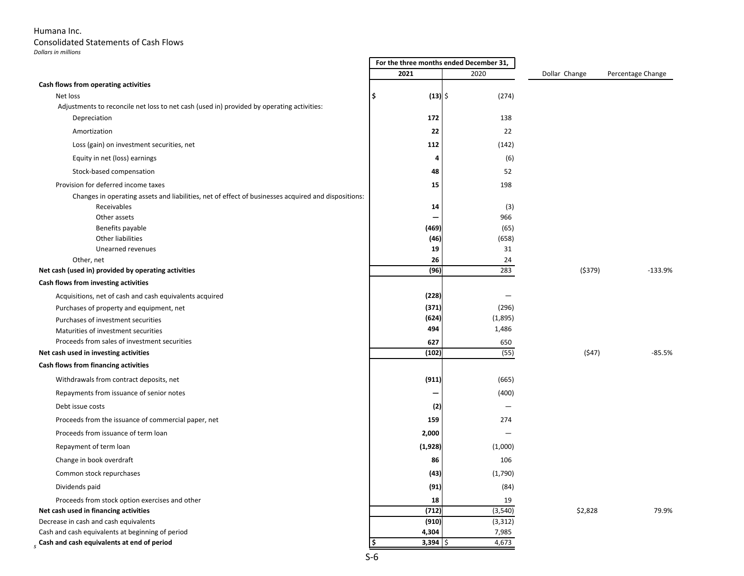## Humana Inc.

#### Consolidated Statements of Cash Flows

*Dollars in millions*

|                                                                                                     |                | For the three months ended December 31, |               |                   |
|-----------------------------------------------------------------------------------------------------|----------------|-----------------------------------------|---------------|-------------------|
|                                                                                                     | 2021           | 2020                                    | Dollar Change | Percentage Change |
| Cash flows from operating activities                                                                |                |                                         |               |                   |
| Net loss                                                                                            | $(13)$ \$<br>S | (274)                                   |               |                   |
| Adjustments to reconcile net loss to net cash (used in) provided by operating activities:           |                |                                         |               |                   |
| Depreciation                                                                                        | 172            | 138                                     |               |                   |
| Amortization                                                                                        | 22             | 22                                      |               |                   |
| Loss (gain) on investment securities, net                                                           | 112            | (142)                                   |               |                   |
| Equity in net (loss) earnings                                                                       | 4              | (6)                                     |               |                   |
| Stock-based compensation                                                                            | 48             | 52                                      |               |                   |
| Provision for deferred income taxes                                                                 | 15             | 198                                     |               |                   |
| Changes in operating assets and liabilities, net of effect of businesses acquired and dispositions: |                |                                         |               |                   |
| Receivables                                                                                         | 14             | (3)                                     |               |                   |
| Other assets                                                                                        |                | 966                                     |               |                   |
| Benefits payable                                                                                    | (469)          | (65)                                    |               |                   |
| Other liabilities                                                                                   | (46)           | (658)                                   |               |                   |
| Unearned revenues                                                                                   | 19             | 31                                      |               |                   |
| Other, net<br>Net cash (used in) provided by operating activities                                   | 26<br>(96)     | 24<br>283                               | (5379)        | $-133.9%$         |
|                                                                                                     |                |                                         |               |                   |
| Cash flows from investing activities                                                                |                |                                         |               |                   |
| Acquisitions, net of cash and cash equivalents acquired                                             | (228)          |                                         |               |                   |
| Purchases of property and equipment, net                                                            | (371)          | (296)                                   |               |                   |
| Purchases of investment securities                                                                  | (624)<br>494   | (1,895)<br>1,486                        |               |                   |
| Maturities of investment securities                                                                 |                |                                         |               |                   |
| Proceeds from sales of investment securities                                                        | 627            | 650                                     |               |                   |
| Net cash used in investing activities                                                               | (102)          | (55)                                    | (547)         | $-85.5%$          |
| Cash flows from financing activities                                                                |                |                                         |               |                   |
| Withdrawals from contract deposits, net                                                             | (911)          | (665)                                   |               |                   |
| Repayments from issuance of senior notes                                                            |                | (400)                                   |               |                   |
| Debt issue costs                                                                                    | (2)            |                                         |               |                   |
| Proceeds from the issuance of commercial paper, net                                                 | 159            | 274                                     |               |                   |
| Proceeds from issuance of term loan                                                                 | 2,000          |                                         |               |                   |
| Repayment of term loan                                                                              | (1,928)        | (1,000)                                 |               |                   |
| Change in book overdraft                                                                            | 86             | 106                                     |               |                   |
| Common stock repurchases                                                                            | (43)           | (1,790)                                 |               |                   |
| Dividends paid                                                                                      | (91)           | (84)                                    |               |                   |
| Proceeds from stock option exercises and other                                                      | 18             | 19                                      |               |                   |
| Net cash used in financing activities                                                               | (712)          | (3,540)                                 | \$2,828       | 79.9%             |
| Decrease in cash and cash equivalents                                                               | (910)          | (3, 312)                                |               |                   |
| Cash and cash equivalents at beginning of period                                                    | 4,304          | 7,985                                   |               |                   |
| Cash and cash equivalents at end of period                                                          | l\$<br>3,394   | 4,673                                   |               |                   |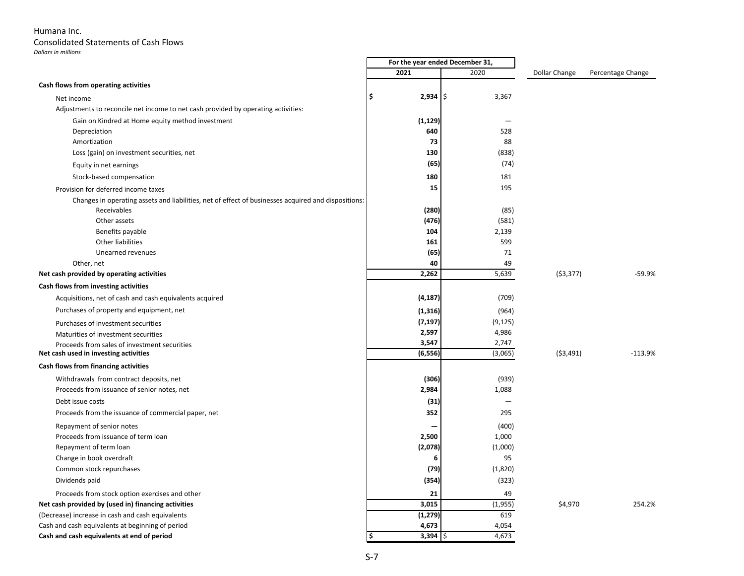#### Humana Inc. Consolidated Statements of Cash Flows *Dollars in millions*

|                                                                                                     | For the year ended December 31, |          |               |                   |
|-----------------------------------------------------------------------------------------------------|---------------------------------|----------|---------------|-------------------|
|                                                                                                     | 2021                            | 2020     | Dollar Change | Percentage Change |
| Cash flows from operating activities                                                                |                                 |          |               |                   |
| Net income                                                                                          | \$<br>$2,934$   \$              | 3,367    |               |                   |
| Adjustments to reconcile net income to net cash provided by operating activities:                   |                                 |          |               |                   |
| Gain on Kindred at Home equity method investment                                                    | (1, 129)                        |          |               |                   |
| Depreciation                                                                                        | 640                             | 528      |               |                   |
| Amortization                                                                                        | 73                              | 88       |               |                   |
| Loss (gain) on investment securities, net                                                           | 130                             | (838)    |               |                   |
| Equity in net earnings                                                                              | (65)                            | (74)     |               |                   |
| Stock-based compensation                                                                            | 180                             | 181      |               |                   |
| Provision for deferred income taxes                                                                 | 15                              | 195      |               |                   |
| Changes in operating assets and liabilities, net of effect of businesses acquired and dispositions: |                                 |          |               |                   |
| Receivables                                                                                         | (280)                           | (85)     |               |                   |
| Other assets                                                                                        | (476)                           | (581)    |               |                   |
| Benefits payable                                                                                    | 104                             | 2,139    |               |                   |
| Other liabilities                                                                                   | 161                             | 599      |               |                   |
| Unearned revenues                                                                                   | (65)                            | 71       |               |                   |
| Other, net                                                                                          | 40                              | 49       |               |                   |
| Net cash provided by operating activities                                                           | 2,262                           | 5,639    | (53, 377)     | $-59.9%$          |
| Cash flows from investing activities                                                                |                                 |          |               |                   |
| Acquisitions, net of cash and cash equivalents acquired                                             | (4, 187)                        | (709)    |               |                   |
| Purchases of property and equipment, net                                                            | (1, 316)                        | (964)    |               |                   |
| Purchases of investment securities                                                                  | (7, 197)                        | (9, 125) |               |                   |
| Maturities of investment securities                                                                 | 2,597                           | 4,986    |               |                   |
| Proceeds from sales of investment securities                                                        | 3,547                           | 2,747    |               |                   |
| Net cash used in investing activities                                                               | (6, 556)                        | (3,065)  | (53, 491)     | $-113.9%$         |
| Cash flows from financing activities                                                                |                                 |          |               |                   |
| Withdrawals from contract deposits, net                                                             | (306)                           | (939)    |               |                   |
| Proceeds from issuance of senior notes, net                                                         | 2,984                           | 1,088    |               |                   |
| Debt issue costs                                                                                    | (31)                            |          |               |                   |
| Proceeds from the issuance of commercial paper, net                                                 | 352                             | 295      |               |                   |
| Repayment of senior notes                                                                           |                                 | (400)    |               |                   |
| Proceeds from issuance of term loan                                                                 | 2,500                           | 1,000    |               |                   |
| Repayment of term loan                                                                              | (2,078)                         | (1,000)  |               |                   |
| Change in book overdraft                                                                            | 6                               | 95       |               |                   |
| Common stock repurchases                                                                            | (79)                            | (1,820)  |               |                   |
| Dividends paid                                                                                      | (354)                           | (323)    |               |                   |
| Proceeds from stock option exercises and other                                                      | 21                              | 49       |               |                   |
| Net cash provided by (used in) financing activities                                                 | 3,015                           | (1,955)  | \$4,970       | 254.2%            |
| (Decrease) increase in cash and cash equivalents                                                    | (1, 279)                        | 619      |               |                   |
| Cash and cash equivalents at beginning of period                                                    | 4,673                           | 4,054    |               |                   |
| Cash and cash equivalents at end of period                                                          | 5<br>$3,394$   \$               | 4,673    |               |                   |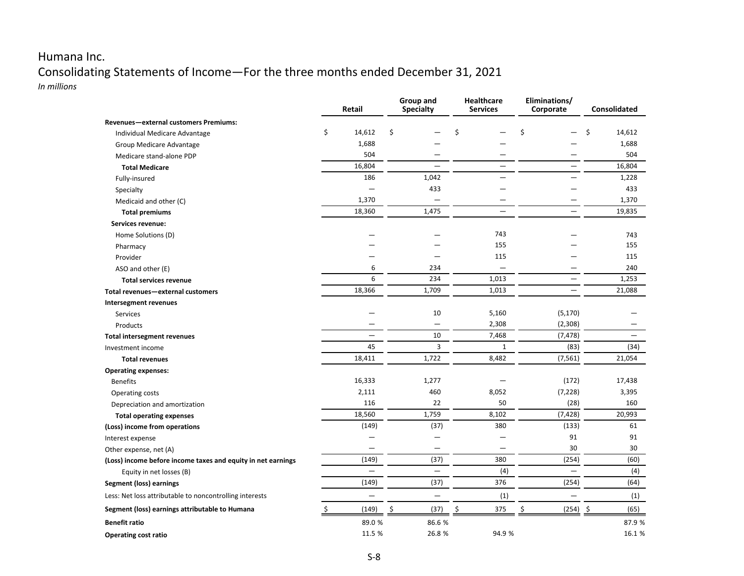# Humana Inc. Consolidating Statements of Income-For the three months ended December 31, 2021 *In millions*

|                                                              | Retail                   | Group and<br><b>Specialty</b> | <b>Healthcare</b><br><b>Services</b> | Eliminations/<br>Corporate |                          | Consolidated |
|--------------------------------------------------------------|--------------------------|-------------------------------|--------------------------------------|----------------------------|--------------------------|--------------|
| Revenues-external customers Premiums:                        |                          |                               |                                      |                            |                          |              |
| Individual Medicare Advantage                                | \$<br>14,612             | \$                            | \$                                   | \$                         | \$                       | 14,612       |
| Group Medicare Advantage                                     | 1,688                    |                               |                                      |                            |                          | 1,688        |
| Medicare stand-alone PDP                                     | 504                      |                               |                                      |                            |                          | 504          |
| <b>Total Medicare</b>                                        | 16,804                   | $\overline{\phantom{0}}$      |                                      | $\overline{\phantom{0}}$   |                          | 16,804       |
| Fully-insured                                                | 186                      | 1,042                         |                                      |                            |                          | 1,228        |
| Specialty                                                    |                          | 433                           |                                      |                            |                          | 433          |
| Medicaid and other (C)                                       | 1,370                    |                               |                                      |                            |                          | 1,370        |
| <b>Total premiums</b>                                        | 18,360                   | 1,475                         |                                      |                            |                          | 19,835       |
| Services revenue:                                            |                          |                               |                                      |                            |                          |              |
| Home Solutions (D)                                           |                          |                               | 743                                  |                            |                          | 743          |
| Pharmacy                                                     |                          |                               | 155                                  |                            |                          | 155          |
| Provider                                                     |                          |                               | 115                                  |                            |                          | 115          |
| ASO and other (E)                                            | 6                        | 234                           |                                      |                            |                          | 240          |
| <b>Total services revenue</b>                                | 6                        | 234                           | 1,013                                | $\overline{\phantom{0}}$   |                          | 1,253        |
| Total revenues-external customers                            | 18,366                   | 1,709                         | 1,013                                |                            |                          | 21,088       |
| <b>Intersegment revenues</b>                                 |                          |                               |                                      |                            |                          |              |
| Services                                                     |                          | 10                            | 5,160                                | (5, 170)                   |                          |              |
| Products                                                     |                          |                               | 2,308                                | (2,308)                    |                          |              |
| <b>Total intersegment revenues</b>                           |                          | 10                            | 7,468                                | (7, 478)                   |                          |              |
| Investment income                                            | 45                       | 3                             | $\mathbf 1$                          | (83)                       |                          | (34)         |
| <b>Total revenues</b>                                        | 18,411                   | 1,722                         | 8,482                                | (7, 561)                   |                          | 21,054       |
| <b>Operating expenses:</b>                                   |                          |                               |                                      |                            |                          |              |
| <b>Benefits</b>                                              | 16,333                   | 1,277                         |                                      | (172)                      |                          | 17,438       |
| Operating costs                                              | 2,111                    | 460                           | 8,052                                | (7, 228)                   |                          | 3,395        |
| Depreciation and amortization                                | 116                      | 22                            | 50                                   | (28)                       |                          | 160          |
| <b>Total operating expenses</b>                              | 18,560                   | 1,759                         | 8,102                                | (7, 428)                   |                          | 20,993       |
| (Loss) income from operations                                | (149)                    | (37)                          | 380                                  | (133)                      |                          | 61           |
| Interest expense                                             |                          |                               |                                      | 91                         |                          | 91           |
| Other expense, net (A)                                       |                          |                               |                                      | 30                         |                          | 30           |
| (Loss) income before income taxes and equity in net earnings | (149)                    | (37)                          | 380                                  | (254)                      |                          | (60)         |
| Equity in net losses (B)                                     | $\overline{\phantom{0}}$ | $\overline{\phantom{0}}$      | (4)                                  | $\overline{\phantom{0}}$   |                          | (4)          |
| <b>Segment (loss) earnings</b>                               | (149)                    | (37)                          | 376                                  | (254)                      |                          | (64)         |
| Less: Net loss attributable to noncontrolling interests      | $\overline{\phantom{0}}$ | $\overline{\phantom{0}}$      | (1)                                  | $\overline{\phantom{0}}$   |                          | (1)          |
| Segment (loss) earnings attributable to Humana               | (149)                    | \$<br>(37)                    | \$<br>375                            | \$<br>(254)                | $\overline{\mathcal{L}}$ | (65)         |
| <b>Benefit ratio</b>                                         | 89.0 %                   | 86.6 %                        |                                      |                            |                          | 87.9 %       |
| <b>Operating cost ratio</b>                                  | 11.5 %                   | 26.8%                         | 94.9 %                               |                            |                          | 16.1%        |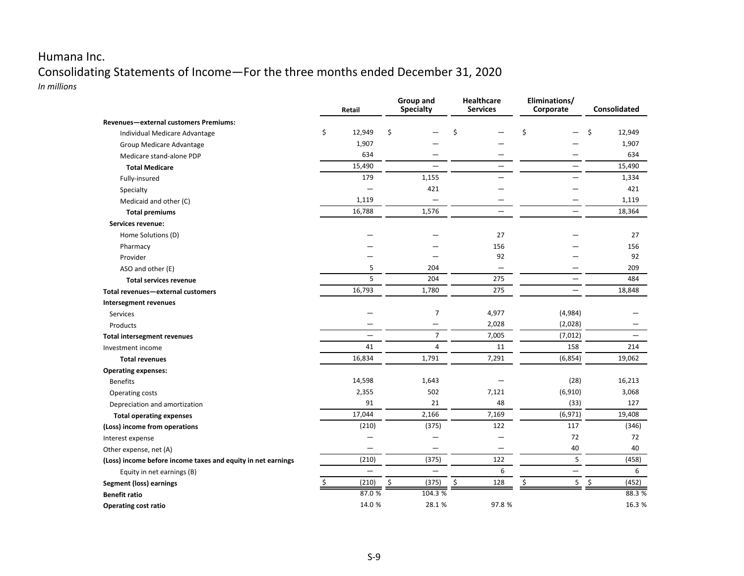# Humana Inc. Consolidating Statements of Income-For the three months ended December 31, 2020 *In millions*

|                                                              | Retail       | Group and<br><b>Specialty</b> |   | Healthcare<br><b>Services</b> |    | Eliminations/<br>Corporate |    | <b>Consolidated</b> |
|--------------------------------------------------------------|--------------|-------------------------------|---|-------------------------------|----|----------------------------|----|---------------------|
| Revenues-external customers Premiums:                        |              |                               |   |                               |    |                            |    |                     |
| Individual Medicare Advantage                                | \$<br>12,949 | \$                            | Ś |                               | \$ |                            | Ś  | 12,949              |
| Group Medicare Advantage                                     | 1,907        |                               |   |                               |    |                            |    | 1,907               |
| Medicare stand-alone PDP                                     | 634          |                               |   |                               |    |                            |    | 634                 |
| <b>Total Medicare</b>                                        | 15,490       |                               |   |                               |    |                            |    | 15,490              |
| Fully-insured                                                | 179          | 1,155                         |   |                               |    |                            |    | 1,334               |
| Specialty                                                    |              | 421                           |   |                               |    |                            |    | 421                 |
| Medicaid and other (C)                                       | 1,119        |                               |   |                               |    |                            |    | 1,119               |
| <b>Total premiums</b>                                        | 16,788       | 1,576                         |   |                               |    |                            |    | 18,364              |
| Services revenue:                                            |              |                               |   |                               |    |                            |    |                     |
| Home Solutions (D)                                           |              |                               |   | 27                            |    |                            |    | 27                  |
| Pharmacy                                                     |              |                               |   | 156                           |    |                            |    | 156                 |
| Provider                                                     |              |                               |   | 92                            |    |                            |    | 92                  |
| ASO and other (E)                                            | 5            | 204                           |   | —                             |    |                            |    | 209                 |
| <b>Total services revenue</b>                                | 5            | 204                           |   | 275                           |    |                            |    | 484                 |
| Total revenues-external customers                            | 16,793       | 1,780                         |   | 275                           |    |                            |    | 18,848              |
| <b>Intersegment revenues</b>                                 |              |                               |   |                               |    |                            |    |                     |
| Services                                                     |              | $\overline{7}$                |   | 4,977                         |    | (4,984)                    |    |                     |
| Products                                                     |              |                               |   | 2,028                         |    | (2,028)                    |    |                     |
| <b>Total intersegment revenues</b>                           |              | $\overline{7}$                |   | 7,005                         |    | (7,012)                    |    |                     |
| Investment income                                            | 41           | 4                             |   | 11                            |    | 158                        |    | 214                 |
| <b>Total revenues</b>                                        | 16,834       | 1,791                         |   | 7,291                         |    | (6, 854)                   |    | 19,062              |
| <b>Operating expenses:</b>                                   |              |                               |   |                               |    |                            |    |                     |
| <b>Benefits</b>                                              | 14,598       | 1,643                         |   |                               |    | (28)                       |    | 16,213              |
| Operating costs                                              | 2,355        | 502                           |   | 7,121                         |    | (6, 910)                   |    | 3,068               |
| Depreciation and amortization                                | 91           | 21                            |   | 48                            |    | (33)                       |    | 127                 |
| <b>Total operating expenses</b>                              | 17,044       | 2,166                         |   | 7,169                         |    | (6,971)                    |    | 19,408              |
| (Loss) income from operations                                | (210)        | (375)                         |   | 122                           |    | 117                        |    | (346)               |
| Interest expense                                             |              |                               |   |                               |    | 72                         |    | 72                  |
| Other expense, net (A)                                       |              |                               |   |                               |    | 40                         |    | 40                  |
| (Loss) income before income taxes and equity in net earnings | (210)        | (375)                         |   | 122                           |    | 5                          |    | (458)               |
| Equity in net earnings (B)                                   | $\equiv$     | $\overline{\phantom{0}}$      |   | 6                             |    | —                          |    | 6                   |
| <b>Segment (loss) earnings</b>                               | (210)        | \$<br>(375)                   | Ś | 128                           | Ś  | 5                          | \$ | (452)               |
| <b>Benefit ratio</b>                                         | 87.0 %       | 104.3 %                       |   |                               |    |                            |    | 88.3 %              |
| <b>Operating cost ratio</b>                                  | 14.0 %       | 28.1 %                        |   | 97.8%                         |    |                            |    | 16.3 %              |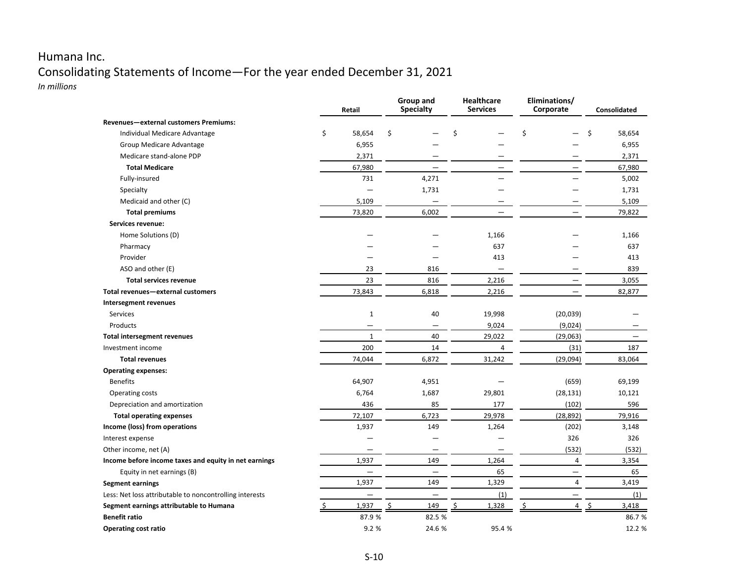# Humana Inc. Consolidating Statements of Income-For the year ended December 31, 2021 *In millions*

|                                                         | Retail                   | Group and<br><b>Specialty</b> | <b>Healthcare</b><br><b>Services</b> | Eliminations/<br>Corporate | Consolidated      |
|---------------------------------------------------------|--------------------------|-------------------------------|--------------------------------------|----------------------------|-------------------|
| Revenues-external customers Premiums:                   |                          |                               |                                      |                            |                   |
| Individual Medicare Advantage                           | \$<br>58,654             | \$                            | Ś                                    | \$                         | Ś<br>58,654       |
| Group Medicare Advantage                                | 6,955                    |                               |                                      |                            | 6,955             |
| Medicare stand-alone PDP                                | 2,371                    |                               |                                      |                            | 2,371             |
| <b>Total Medicare</b>                                   | 67,980                   |                               |                                      |                            | 67,980            |
| Fully-insured                                           | 731                      | 4,271                         |                                      |                            | 5,002             |
| Specialty                                               |                          | 1,731                         |                                      |                            | 1,731             |
| Medicaid and other (C)                                  | 5,109                    |                               |                                      |                            | 5,109             |
| <b>Total premiums</b>                                   | 73,820                   | 6,002                         |                                      |                            | 79,822            |
| Services revenue:                                       |                          |                               |                                      |                            |                   |
| Home Solutions (D)                                      |                          |                               | 1,166                                |                            | 1,166             |
| Pharmacy                                                |                          |                               | 637                                  |                            | 637               |
| Provider                                                |                          |                               | 413                                  |                            | 413               |
| ASO and other (E)                                       | 23                       | 816                           | —                                    |                            | 839               |
| <b>Total services revenue</b>                           | 23                       | 816                           | 2,216                                |                            | 3,055             |
| Total revenues-external customers                       | 73,843                   | 6,818                         | 2,216                                |                            | 82,877            |
| Intersegment revenues                                   |                          |                               |                                      |                            |                   |
| Services                                                | $\mathbf 1$              | 40                            | 19,998                               | (20, 039)                  |                   |
| Products                                                | —                        |                               | 9,024                                | (9,024)                    |                   |
| <b>Total intersegment revenues</b>                      | $1\,$                    | 40                            | 29,022                               | (29,063)                   |                   |
| Investment income                                       | 200                      | 14                            | 4                                    | (31)                       | 187               |
| <b>Total revenues</b>                                   | 74,044                   | 6,872                         | 31,242                               | (29, 094)                  | 83,064            |
| <b>Operating expenses:</b>                              |                          |                               |                                      |                            |                   |
| <b>Benefits</b>                                         | 64,907                   | 4,951                         |                                      | (659)                      | 69,199            |
| Operating costs                                         | 6,764                    | 1,687                         | 29,801                               | (28, 131)                  | 10,121            |
| Depreciation and amortization                           | 436                      | 85                            | 177                                  | (102)                      | 596               |
| <b>Total operating expenses</b>                         | 72,107                   | 6,723                         | 29,978                               | (28, 892)                  | 79,916            |
| Income (loss) from operations                           | 1,937                    | 149                           | 1,264                                | (202)                      | 3,148             |
| Interest expense                                        |                          |                               |                                      | 326                        | 326               |
| Other income, net (A)                                   |                          |                               |                                      | (532)                      | (532)             |
| Income before income taxes and equity in net earnings   | 1,937                    | 149                           | 1,264                                | 4                          | 3,354             |
| Equity in net earnings (B)                              |                          | $\overline{\phantom{0}}$      | 65                                   |                            | 65                |
| <b>Segment earnings</b>                                 | 1,937                    | 149                           | 1,329                                | 4                          | 3,419             |
| Less: Net loss attributable to noncontrolling interests | $\overline{\phantom{0}}$ | $\overline{\phantom{0}}$      | (1)                                  |                            | (1)               |
| Segment earnings attributable to Humana                 | 1,937                    | 149                           | 1,328                                | 4                          | <u>ځ</u><br>3,418 |
| <b>Benefit ratio</b>                                    | 87.9%                    | 82.5 %                        |                                      |                            | 86.7%             |
| <b>Operating cost ratio</b>                             | 9.2 %                    | 24.6 %                        | 95.4 %                               |                            | 12.2 %            |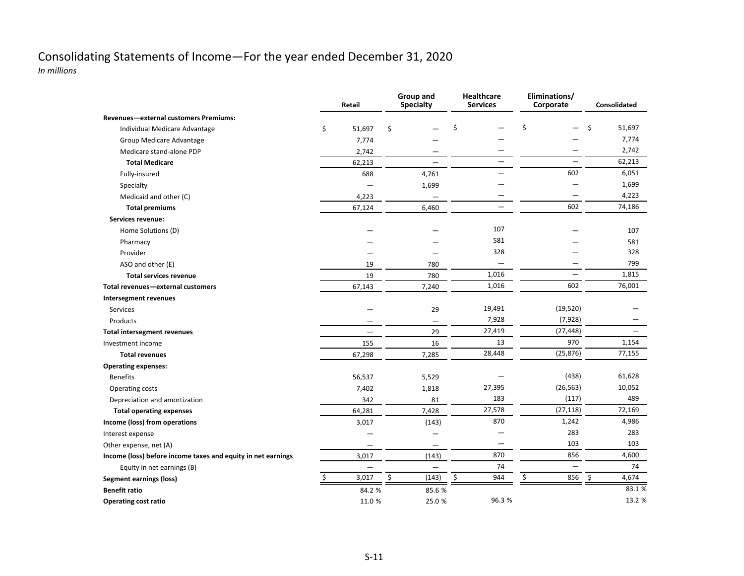# Consolidating Statements of Income-For the year ended December 31, 2020

*In millions*

|                                                              | Retail       |                          | Group and<br><b>Specialty</b> | <b>Healthcare</b><br><b>Services</b> | Eliminations/<br>Corporate | Consolidated |
|--------------------------------------------------------------|--------------|--------------------------|-------------------------------|--------------------------------------|----------------------------|--------------|
| Revenues-external customers Premiums:                        |              |                          |                               |                                      |                            |              |
| Individual Medicare Advantage                                | \$<br>51,697 |                          | \$                            | \$                                   | \$                         | Ś<br>51,697  |
| Group Medicare Advantage                                     | 7,774        |                          |                               |                                      |                            | 7,774        |
| Medicare stand-alone PDP                                     | 2,742        |                          |                               |                                      |                            | 2,742        |
| <b>Total Medicare</b>                                        | 62,213       |                          |                               |                                      |                            | 62,213       |
| Fully-insured                                                |              | 688                      | 4,761                         |                                      | 602                        | 6,051        |
| Specialty                                                    |              |                          | 1,699                         |                                      |                            | 1,699        |
| Medicaid and other (C)                                       | 4,223        |                          |                               |                                      |                            | 4,223        |
| <b>Total premiums</b>                                        | 67,124       |                          | 6,460                         |                                      | 602                        | 74,186       |
| Services revenue:                                            |              |                          |                               |                                      |                            |              |
| Home Solutions (D)                                           |              |                          |                               | 107                                  |                            | 107          |
| Pharmacy                                                     |              |                          |                               | 581                                  |                            | 581          |
| Provider                                                     |              |                          |                               | 328                                  |                            | 328          |
| ASO and other (E)                                            |              | 19                       | 780                           |                                      |                            | 799          |
| <b>Total services revenue</b>                                |              | 19                       | 780                           | 1,016                                |                            | 1,815        |
| Total revenues-external customers                            | 67,143       |                          | 7,240                         | 1,016                                | 602                        | 76,001       |
| Intersegment revenues                                        |              |                          |                               |                                      |                            |              |
| <b>Services</b>                                              |              |                          | 29                            | 19,491                               | (19, 520)                  |              |
| Products                                                     |              |                          | $\qquad \qquad -$             | 7,928                                | (7,928)                    |              |
| <b>Total intersegment revenues</b>                           |              | $\overline{\phantom{m}}$ | 29                            | 27,419                               | (27, 448)                  |              |
| Investment income                                            | 155          |                          | 16                            | 13                                   | 970                        | 1,154        |
| <b>Total revenues</b>                                        | 67,298       |                          | 7,285                         | 28,448                               | (25, 876)                  | 77,155       |
| <b>Operating expenses:</b>                                   |              |                          |                               |                                      |                            |              |
| <b>Benefits</b>                                              | 56,537       |                          | 5,529                         |                                      | (438)                      | 61,628       |
| Operating costs                                              | 7,402        |                          | 1,818                         | 27,395                               | (26, 563)                  | 10,052       |
| Depreciation and amortization                                |              | 342                      | 81                            | 183                                  | (117)                      | 489          |
| <b>Total operating expenses</b>                              | 64,281       |                          | 7,428                         | 27,578                               | (27, 118)                  | 72,169       |
| Income (loss) from operations                                | 3,017        |                          | (143)                         | 870                                  | 1,242                      | 4,986        |
| Interest expense                                             |              |                          |                               |                                      | 283                        | 283          |
| Other expense, net (A)                                       |              |                          | -                             |                                      | 103                        | 103          |
| Income (loss) before income taxes and equity in net earnings | 3,017        |                          | (143)                         | 870                                  | 856                        | 4,600        |
| Equity in net earnings (B)                                   |              | $\qquad \qquad$          | $\qquad \qquad$               | 74                                   |                            | 74           |
| <b>Segment earnings (loss)</b>                               | 3,017        |                          | \$<br>(143)                   | \$<br>944                            | 856<br>Ś                   | \$<br>4,674  |
| <b>Benefit ratio</b>                                         |              | 84.2 %                   | 85.6%                         |                                      |                            | 83.1 %       |
| <b>Operating cost ratio</b>                                  |              | 11.0 %                   | 25.0%                         | 96.3 %                               |                            | 13.2 %       |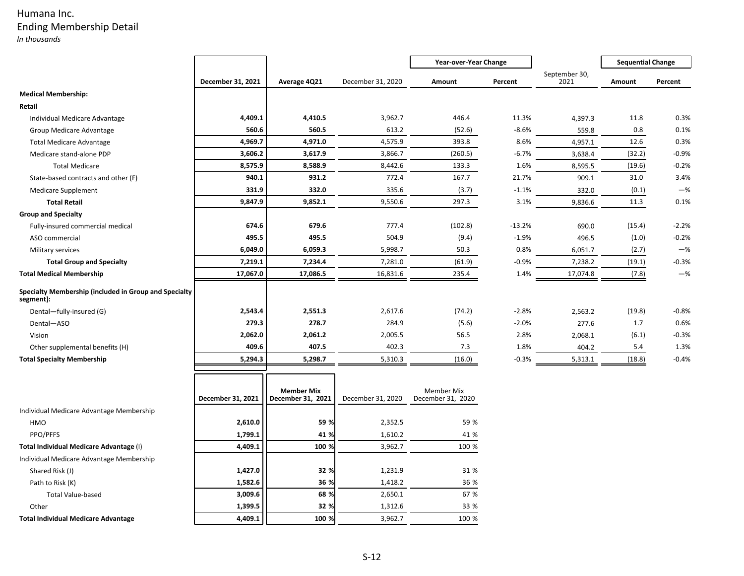## Humana Inc. Ending Membership Detail *In thousands*

|                                                                    |                   |                                        |                   | Year-over-Year Change                  |          |                       | <b>Sequential Change</b> |         |
|--------------------------------------------------------------------|-------------------|----------------------------------------|-------------------|----------------------------------------|----------|-----------------------|--------------------------|---------|
|                                                                    | December 31, 2021 | Average 4Q21                           | December 31, 2020 | Amount                                 | Percent  | September 30,<br>2021 | Amount                   | Percent |
| <b>Medical Membership:</b>                                         |                   |                                        |                   |                                        |          |                       |                          |         |
| Retail                                                             |                   |                                        |                   |                                        |          |                       |                          |         |
| Individual Medicare Advantage                                      | 4,409.1           | 4,410.5                                | 3,962.7           | 446.4                                  | 11.3%    | 4,397.3               | 11.8                     | 0.3%    |
| Group Medicare Advantage                                           | 560.6             | 560.5                                  | 613.2             | (52.6)                                 | $-8.6%$  | 559.8                 | 0.8                      | 0.1%    |
| <b>Total Medicare Advantage</b>                                    | 4,969.7           | 4,971.0                                | 4,575.9           | 393.8                                  | 8.6%     | 4,957.1               | 12.6                     | 0.3%    |
| Medicare stand-alone PDP                                           | 3,606.2           | 3,617.9                                | 3,866.7           | (260.5)                                | $-6.7%$  | 3,638.4               | (32.2)                   | $-0.9%$ |
| <b>Total Medicare</b>                                              | 8,575.9           | 8,588.9                                | 8,442.6           | 133.3                                  | 1.6%     | 8,595.5               | (19.6)                   | $-0.2%$ |
| State-based contracts and other (F)                                | 940.1             | 931.2                                  | 772.4             | 167.7                                  | 21.7%    | 909.1                 | 31.0                     | 3.4%    |
| <b>Medicare Supplement</b>                                         | 331.9             | 332.0                                  | 335.6             | (3.7)                                  | $-1.1%$  | 332.0                 | (0.1)                    | $-\%$   |
| <b>Total Retail</b>                                                | 9,847.9           | 9,852.1                                | 9,550.6           | 297.3                                  | 3.1%     | 9,836.6               | 11.3                     | 0.1%    |
| <b>Group and Specialty</b>                                         |                   |                                        |                   |                                        |          |                       |                          |         |
| Fully-insured commercial medical                                   | 674.6             | 679.6                                  | 777.4             | (102.8)                                | $-13.2%$ | 690.0                 | (15.4)                   | $-2.2%$ |
| ASO commercial                                                     | 495.5             | 495.5                                  | 504.9             | (9.4)                                  | $-1.9%$  | 496.5                 | (1.0)                    | $-0.2%$ |
| Military services                                                  | 6,049.0           | 6,059.3                                | 5,998.7           | 50.3                                   | 0.8%     | 6,051.7               | (2.7)                    | $-\%$   |
| <b>Total Group and Specialty</b>                                   | 7,219.1           | 7,234.4                                | 7,281.0           | (61.9)                                 | $-0.9%$  | 7,238.2               | (19.1)                   | $-0.3%$ |
| <b>Total Medical Membership</b>                                    | 17,067.0          | 17,086.5                               | 16,831.6          | 235.4                                  | 1.4%     | 17,074.8              | (7.8)                    | $-\%$   |
| Specialty Membership (included in Group and Specialty<br>segment): |                   |                                        |                   |                                        |          |                       |                          |         |
| Dental-fully-insured (G)                                           | 2,543.4           | 2,551.3                                | 2,617.6           | (74.2)                                 | $-2.8%$  | 2,563.2               | (19.8)                   | $-0.8%$ |
| Dental-ASO                                                         | 279.3             | 278.7                                  | 284.9             | (5.6)                                  | $-2.0%$  | 277.6                 | 1.7                      | 0.6%    |
| Vision                                                             | 2,062.0           | 2,061.2                                | 2,005.5           | 56.5                                   | 2.8%     | 2,068.1               | (6.1)                    | $-0.3%$ |
| Other supplemental benefits (H)                                    | 409.6             | 407.5                                  | 402.3             | 7.3                                    | 1.8%     | 404.2                 | 5.4                      | 1.3%    |
| <b>Total Specialty Membership</b>                                  | 5,294.3           | 5,298.7                                | 5,310.3           | (16.0)                                 | $-0.3%$  | 5,313.1               | (18.8)                   | $-0.4%$ |
|                                                                    |                   |                                        |                   |                                        |          |                       |                          |         |
|                                                                    | December 31, 2021 | <b>Member Mix</b><br>December 31, 2021 | December 31, 2020 | <b>Member Mix</b><br>December 31, 2020 |          |                       |                          |         |
| Individual Medicare Advantage Membership                           |                   |                                        |                   |                                        |          |                       |                          |         |
| <b>HMO</b>                                                         | 2,610.0           | 59 %                                   | 2,352.5           | 59 %                                   |          |                       |                          |         |
| PPO/PFFS                                                           | 1,799.1           | 41 %                                   | 1,610.2           | 41 %                                   |          |                       |                          |         |
| Total Individual Medicare Advantage (I)                            | 4,409.1           | 100 %                                  | 3,962.7           | 100 %                                  |          |                       |                          |         |
| Individual Medicare Advantage Membership                           |                   |                                        |                   |                                        |          |                       |                          |         |
| Shared Risk (J)                                                    | 1,427.0           | 32 %                                   | 1,231.9           | 31 %                                   |          |                       |                          |         |
| Path to Risk (K)                                                   | 1,582.6           | 36 %                                   | 1,418.2           | 36 %                                   |          |                       |                          |         |
| <b>Total Value-based</b>                                           | 3,009.6           | 68 %                                   | 2,650.1           | 67 %                                   |          |                       |                          |         |
| Other                                                              | 1,399.5           | 32 %                                   | 1,312.6           | 33 %                                   |          |                       |                          |         |
| <b>Total Individual Medicare Advantage</b>                         | 4,409.1           | 100 %                                  | 3,962.7           | 100 %                                  |          |                       |                          |         |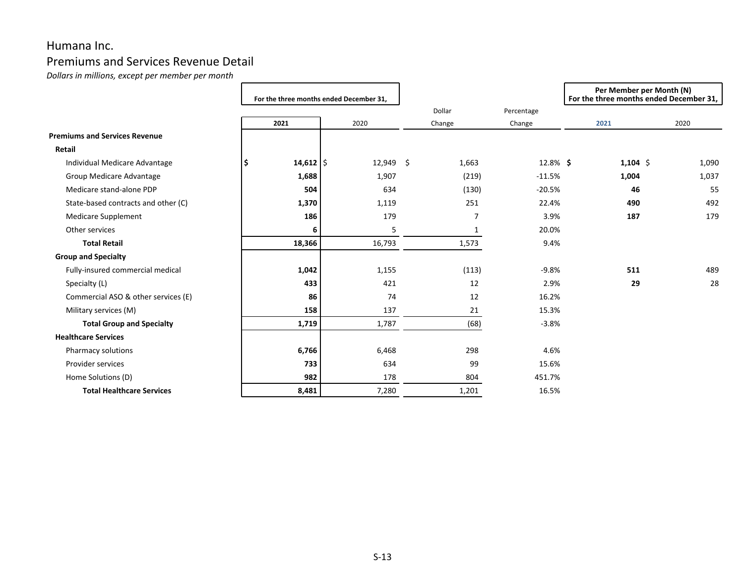# Humana Inc. Premiums and Services Revenue Detail

Dollars in millions, except per member per month

|                                      |                    | For the three months ended December 31, |                |            |            | Per Member per Month (N)<br>For the three months ended December 31, |
|--------------------------------------|--------------------|-----------------------------------------|----------------|------------|------------|---------------------------------------------------------------------|
|                                      |                    |                                         | Dollar         | Percentage |            |                                                                     |
|                                      | 2021               | 2020                                    | Change         | Change     | 2021       | 2020                                                                |
| <b>Premiums and Services Revenue</b> |                    |                                         |                |            |            |                                                                     |
| Retail                               |                    |                                         |                |            |            |                                                                     |
| Individual Medicare Advantage        | Ś<br>$14,612$   \$ | 12,949 \$                               | 1,663          | 12.8% \$   | $1,104$ \$ | 1,090                                                               |
| Group Medicare Advantage             | 1,688              | 1,907                                   | (219)          | $-11.5%$   | 1,004      | 1,037                                                               |
| Medicare stand-alone PDP             | 504                | 634                                     | (130)          | $-20.5%$   | 46         | 55                                                                  |
| State-based contracts and other (C)  | 1,370              | 1,119                                   | 251            | 22.4%      | 490        | 492                                                                 |
| <b>Medicare Supplement</b>           | 186                | 179                                     | $\overline{7}$ | 3.9%       | 187        | 179                                                                 |
| Other services                       | 6                  | 5                                       | 1              | 20.0%      |            |                                                                     |
| <b>Total Retail</b>                  | 18,366             | 16,793                                  | 1,573          | 9.4%       |            |                                                                     |
| <b>Group and Specialty</b>           |                    |                                         |                |            |            |                                                                     |
| Fully-insured commercial medical     | 1,042              | 1,155                                   | (113)          | $-9.8%$    | 511        | 489                                                                 |
| Specialty (L)                        | 433                | 421                                     | 12             | 2.9%       | 29         | 28                                                                  |
| Commercial ASO & other services (E)  | 86                 | 74                                      | 12             | 16.2%      |            |                                                                     |
| Military services (M)                | 158                | 137                                     | 21             | 15.3%      |            |                                                                     |
| <b>Total Group and Specialty</b>     | 1,719              | 1,787                                   | (68)           | $-3.8%$    |            |                                                                     |
| <b>Healthcare Services</b>           |                    |                                         |                |            |            |                                                                     |
| Pharmacy solutions                   | 6,766              | 6,468                                   | 298            | 4.6%       |            |                                                                     |
| <b>Provider services</b>             | 733                | 634                                     | 99             | 15.6%      |            |                                                                     |
| Home Solutions (D)                   | 982                | 178                                     | 804            | 451.7%     |            |                                                                     |
| <b>Total Healthcare Services</b>     | 8,481              | 7,280                                   | 1,201          | 16.5%      |            |                                                                     |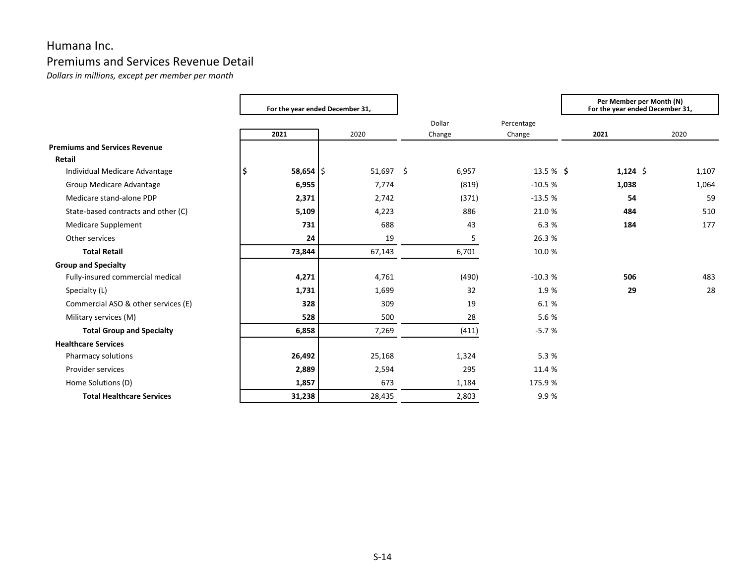# Humana Inc. Premiums and Services Revenue Detail

Dollars in millions, except per member per month

|                                      |                    | For the year ended December 31, |        |            | Per Member per Month (N)<br>For the year ended December 31, |       |
|--------------------------------------|--------------------|---------------------------------|--------|------------|-------------------------------------------------------------|-------|
|                                      |                    |                                 | Dollar | Percentage |                                                             |       |
|                                      | 2021               | 2020                            | Change | Change     | 2021                                                        | 2020  |
| <b>Premiums and Services Revenue</b> |                    |                                 |        |            |                                                             |       |
| Retail                               |                    |                                 |        |            |                                                             |       |
| Individual Medicare Advantage        | Ś<br>$58,654$   \$ | $51,697$ \$                     | 6,957  | $13.5%$ \$ | $1,124$ \$                                                  | 1,107 |
| Group Medicare Advantage             | 6,955              | 7,774                           | (819)  | $-10.5%$   | 1,038                                                       | 1,064 |
| Medicare stand-alone PDP             | 2,371              | 2,742                           | (371)  | $-13.5%$   | 54                                                          | 59    |
| State-based contracts and other (C)  | 5,109              | 4,223                           | 886    | 21.0%      | 484                                                         | 510   |
| <b>Medicare Supplement</b>           | 731                | 688                             | 43     | 6.3 %      | 184                                                         | 177   |
| Other services                       | 24                 | 19                              | 5      | 26.3 %     |                                                             |       |
| <b>Total Retail</b>                  | 73,844             | 67,143                          | 6,701  | 10.0 %     |                                                             |       |
| <b>Group and Specialty</b>           |                    |                                 |        |            |                                                             |       |
| Fully-insured commercial medical     | 4,271              | 4,761                           | (490)  | $-10.3%$   | 506                                                         | 483   |
| Specialty (L)                        | 1,731              | 1,699                           | 32     | 1.9%       | 29                                                          | 28    |
| Commercial ASO & other services (E)  | 328                | 309                             | 19     | 6.1%       |                                                             |       |
| Military services (M)                | 528                | 500                             | 28     | 5.6 %      |                                                             |       |
| <b>Total Group and Specialty</b>     | 6,858              | 7,269                           | (411)  | $-5.7%$    |                                                             |       |
| <b>Healthcare Services</b>           |                    |                                 |        |            |                                                             |       |
| Pharmacy solutions                   | 26,492             | 25,168                          | 1,324  | 5.3 %      |                                                             |       |
| <b>Provider services</b>             | 2,889              | 2,594                           | 295    | 11.4 %     |                                                             |       |
| Home Solutions (D)                   | 1,857              | 673                             | 1,184  | 175.9 %    |                                                             |       |
| <b>Total Healthcare Services</b>     | 31,238             | 28,435                          | 2,803  | 9.9%       |                                                             |       |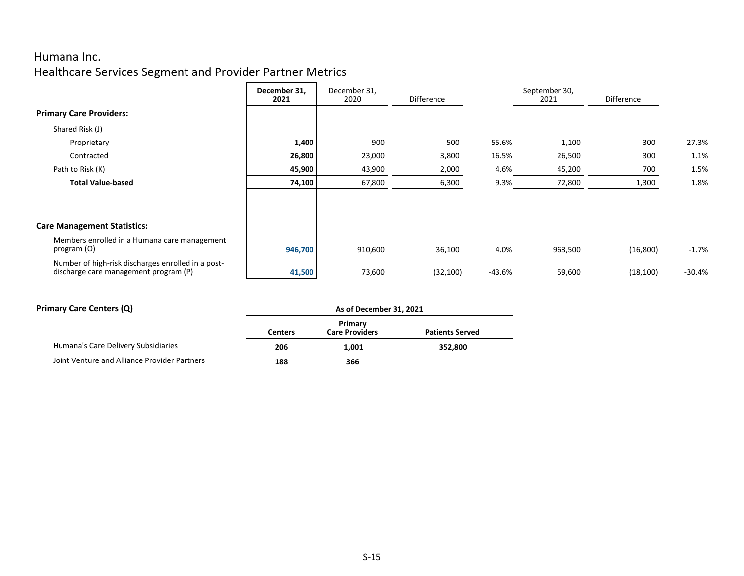# Humana Inc. Healthcare Services Segment and Provider Partner Metrics

|                                                                                             | December 31.<br>2021 | December 31.<br>2020 | Difference |          | September 30,<br>2021 | Difference |          |
|---------------------------------------------------------------------------------------------|----------------------|----------------------|------------|----------|-----------------------|------------|----------|
| <b>Primary Care Providers:</b>                                                              |                      |                      |            |          |                       |            |          |
| Shared Risk (J)                                                                             |                      |                      |            |          |                       |            |          |
| Proprietary                                                                                 | 1,400                | 900                  | 500        | 55.6%    | 1,100                 | 300        | 27.3%    |
| Contracted                                                                                  | 26,800               | 23,000               | 3,800      | 16.5%    | 26,500                | 300        | 1.1%     |
| Path to Risk (K)                                                                            | 45,900               | 43,900               | 2,000      | 4.6%     | 45,200                | 700        | 1.5%     |
| <b>Total Value-based</b>                                                                    | 74,100               | 67,800               | 6,300      | 9.3%     | 72,800                | 1,300      | 1.8%     |
|                                                                                             |                      |                      |            |          |                       |            |          |
|                                                                                             |                      |                      |            |          |                       |            |          |
| <b>Care Management Statistics:</b>                                                          |                      |                      |            |          |                       |            |          |
| Members enrolled in a Humana care management<br>program (O)                                 | 946,700              | 910,600              | 36,100     | 4.0%     | 963,500               | (16, 800)  | $-1.7%$  |
| Number of high-risk discharges enrolled in a post-<br>discharge care management program (P) | 41,500               | 73,600               | (32, 100)  | $-43.6%$ | 59,600                | (18, 100)  | $-30.4%$ |

| <b>Primary Care Centers (Q)</b>              | As of December 31, 2021 |                                  |                        |  |  |  |
|----------------------------------------------|-------------------------|----------------------------------|------------------------|--|--|--|
|                                              | <b>Centers</b>          | Primary<br><b>Care Providers</b> | <b>Patients Served</b> |  |  |  |
| Humana's Care Delivery Subsidiaries          | 206                     | 1.001                            | 352.800                |  |  |  |
| Joint Venture and Alliance Provider Partners | 188                     | 366                              |                        |  |  |  |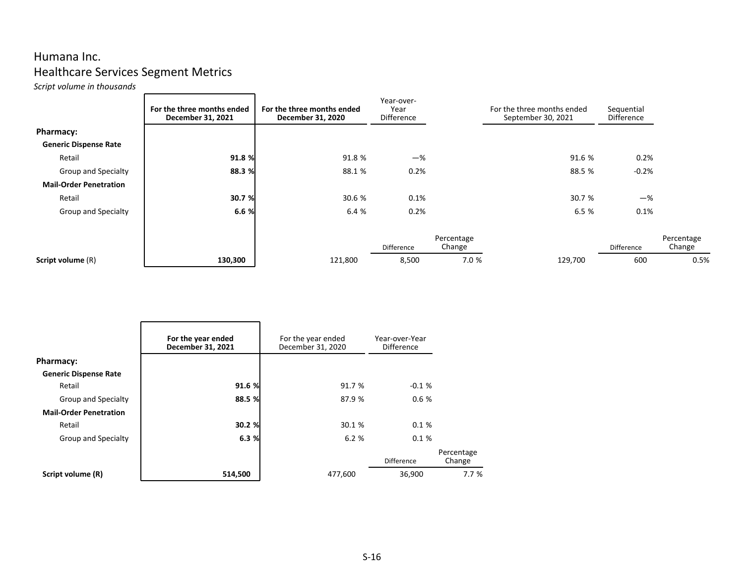# Humana Inc. Healthcare Services Segment Metrics

Script volume in thousands

|                               | For the three months ended<br>December 31, 2021 | For the three months ended<br>December 31, 2020 | Year-over-<br>Year<br>Difference |                      | For the three months ended<br>September 30, 2021 | Sequential<br>Difference |                      |
|-------------------------------|-------------------------------------------------|-------------------------------------------------|----------------------------------|----------------------|--------------------------------------------------|--------------------------|----------------------|
| Pharmacy:                     |                                                 |                                                 |                                  |                      |                                                  |                          |                      |
| <b>Generic Dispense Rate</b>  |                                                 |                                                 |                                  |                      |                                                  |                          |                      |
| Retail                        | 91.8 %                                          | 91.8%                                           | $-\%$                            |                      | 91.6 %                                           | 0.2%                     |                      |
| <b>Group and Specialty</b>    | 88.3 %                                          | 88.1 %                                          | 0.2%                             |                      | 88.5 %                                           | $-0.2%$                  |                      |
| <b>Mail-Order Penetration</b> |                                                 |                                                 |                                  |                      |                                                  |                          |                      |
| Retail                        | 30.7 %                                          | 30.6 %                                          | 0.1%                             |                      | 30.7 %                                           | $-$ %                    |                      |
| <b>Group and Specialty</b>    | 6.6%                                            | 6.4 %                                           | 0.2%                             |                      | 6.5 %                                            | 0.1%                     |                      |
|                               |                                                 |                                                 | Difference                       | Percentage<br>Change |                                                  | Difference               | Percentage<br>Change |
| Script volume (R)             | 130,300                                         | 121,800                                         | 8,500                            | 7.0 %                | 129,700                                          | 600                      | 0.5%                 |

|                               | For the year ended<br>December 31, 2021 | For the year ended<br>December 31, 2020 | Year-over-Year<br><b>Difference</b> |                      |
|-------------------------------|-----------------------------------------|-----------------------------------------|-------------------------------------|----------------------|
| Pharmacy:                     |                                         |                                         |                                     |                      |
| <b>Generic Dispense Rate</b>  |                                         |                                         |                                     |                      |
| Retail                        | 91.6 %                                  | 91.7 %                                  | $-0.1%$                             |                      |
| Group and Specialty           | 88.5 %                                  | 87.9 %                                  | 0.6%                                |                      |
| <b>Mail-Order Penetration</b> |                                         |                                         |                                     |                      |
| Retail                        | 30.2 %                                  | 30.1 %                                  | 0.1%                                |                      |
| Group and Specialty           | 6.3%                                    | 6.2%                                    | 0.1%                                |                      |
|                               |                                         |                                         | Difference                          | Percentage<br>Change |
| Script volume (R)             | 514,500                                 | 477,600                                 | 36,900                              | 7.7%                 |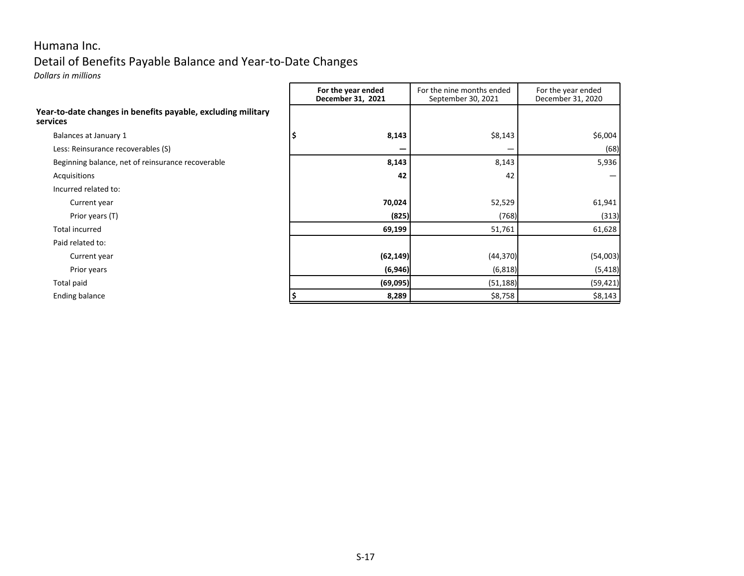# Humana Inc. Detail of Benefits Payable Balance and Year-to-Date Changes

*Dollars in millions*

|                                                                          | For the year ended<br>December 31, 2021 | For the nine months ended<br>September 30, 2021 | For the year ended<br>December 31, 2020 |
|--------------------------------------------------------------------------|-----------------------------------------|-------------------------------------------------|-----------------------------------------|
| Year-to-date changes in benefits payable, excluding military<br>services |                                         |                                                 |                                         |
| Balances at January 1                                                    | 8,143                                   | \$8,143                                         | \$6,004                                 |
| Less: Reinsurance recoverables (S)                                       |                                         |                                                 | (68)                                    |
| Beginning balance, net of reinsurance recoverable                        | 8,143                                   | 8,143                                           | 5,936                                   |
| Acquisitions                                                             | 42                                      | 42                                              |                                         |
| Incurred related to:                                                     |                                         |                                                 |                                         |
| Current year                                                             | 70,024                                  | 52,529                                          | 61,941                                  |
| Prior years (T)                                                          | (825)                                   | (768)                                           | (313)                                   |
| <b>Total incurred</b>                                                    | 69,199                                  | 51,761                                          | 61,628                                  |
| Paid related to:                                                         |                                         |                                                 |                                         |
| Current year                                                             | (62, 149)                               | (44, 370)                                       | (54,003)                                |
| Prior years                                                              | (6,946)                                 | (6,818)                                         | (5, 418)                                |
| Total paid                                                               | (69,095)                                | (51, 188)                                       | (59, 421)                               |
| Ending balance                                                           | 8,289                                   | \$8,758                                         | \$8,143                                 |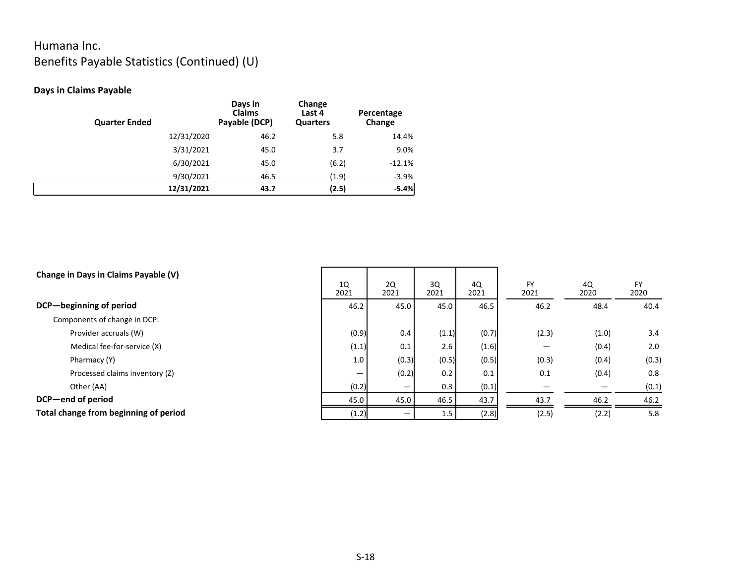# Humana Inc. Benefits Payable Statistics (Continued) (U)

# **Days in Claims Payable**

| <b>Quarter Ended</b> |            | Days in<br><b>Claims</b><br>Payable (DCP) | Change<br>Last 4<br><b>Quarters</b> | Percentage<br>Change |
|----------------------|------------|-------------------------------------------|-------------------------------------|----------------------|
|                      | 12/31/2020 | 46.2                                      | 5.8                                 | 14.4%                |
|                      | 3/31/2021  | 45.0                                      | 3.7                                 | 9.0%                 |
|                      | 6/30/2021  | 45.0                                      | (6.2)                               | $-12.1%$             |
|                      | 9/30/2021  | 46.5                                      | (1.9)                               | $-3.9%$              |
|                      | 12/31/2021 | 43.7                                      | (2.5)                               | $-5.4%$              |

| Change in Days in Claims Payable (V)  |            |                   |            |            |            |            |                   |
|---------------------------------------|------------|-------------------|------------|------------|------------|------------|-------------------|
|                                       | 1Q<br>2021 | <b>2Q</b><br>2021 | 3Q<br>2021 | 4Q<br>2021 | FY<br>2021 | 4Q<br>2020 | <b>FY</b><br>2020 |
| DCP-beginning of period               | 46.2       | 45.0              | 45.0       | 46.5       | 46.2       | 48.4       | 40.4              |
| Components of change in DCP:          |            |                   |            |            |            |            |                   |
| Provider accruals (W)                 | (0.9)      | 0.4               | (1.1)      | (0.7)      | (2.3)      | (1.0)      | 3.4               |
| Medical fee-for-service (X)           | (1.1)      | 0.1               | 2.6        | (1.6)      |            | (0.4)      | 2.0               |
| Pharmacy (Y)                          | 1.0        | (0.3)             | (0.5)      | (0.5)      | (0.3)      | (0.4)      | (0.3)             |
| Processed claims inventory (Z)        | —          | (0.2)             | 0.2        | 0.1        | 0.1        | (0.4)      | 0.8               |
| Other (AA)                            | (0.2)      | —                 | 0.3        | (0.1)      |            |            | (0.1)             |
| DCP-end of period                     | 45.0       | 45.0              | 46.5       | 43.7       | 43.7       | 46.2       | 46.2              |
| Total change from beginning of period | (1.2)      | –                 | 1.5        | (2.8)      | (2.5)      | (2.2)      | 5.8               |